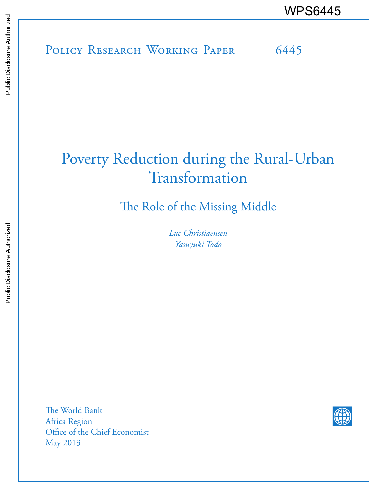POLICY RESEARCH WORKING PAPER 6445 WPS6445

# Poverty Reduction during the Rural-Urban Transformation

The Role of the Missing Middle

*Luc Christiaensen Yasuyuki Todo*

The World Bank Africa Region Office of the Chief Economist May 2013

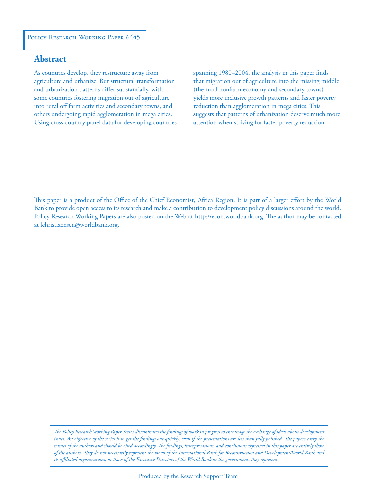#### POLICY RESEARCH WORKING PAPER 6445

## **Abstract**

As countries develop, they restructure away from agriculture and urbanize. But structural transformation and urbanization patterns differ substantially, with some countries fostering migration out of agriculture into rural off farm activities and secondary towns, and others undergoing rapid agglomeration in mega cities. Using cross-country panel data for developing countries spanning 1980–2004, the analysis in this paper finds that migration out of agriculture into the missing middle (the rural nonfarm economy and secondary towns) yields more inclusive growth patterns and faster poverty reduction than agglomeration in mega cities. This suggests that patterns of urbanization deserve much more attention when striving for faster poverty reduction.

This paper is a product of the Office of the Chief Economist, Africa Region. It is part of a larger effort by the World Bank to provide open access to its research and make a contribution to development policy discussions around the world. Policy Research Working Papers are also posted on the Web at http://econ.worldbank.org. The author may be contacted at lchristiaensen@worldbank.org.

*The Policy Research Working Paper Series disseminates the findings of work in progress to encourage the exchange of ideas about development*  issues. An objective of the series is to get the findings out quickly, even if the presentations are less than fully polished. The papers carry the *names of the authors and should be cited accordingly. The findings, interpretations, and conclusions expressed in this paper are entirely those of the authors. They do not necessarily represent the views of the International Bank for Reconstruction and Development/World Bank and its affiliated organizations, or those of the Executive Directors of the World Bank or the governments they represent.*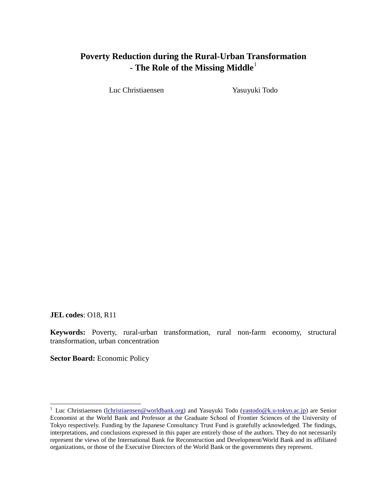# **Poverty Reduction during the Rural-Urban Transformation - The Role of the Missing Middle**

Luc Christiaensen Yasuyuki Todo

**JEL codes**: O18, R11

-

**Keywords:** Poverty, rural-urban transformation, rural non-farm economy, structural transformation, urban concentration

**Sector Board:** Economic Policy

<span id="page-2-0"></span><sup>&</sup>lt;sup>1</sup> Luc Christiaensen (*lchristiaensen@worldbank.org*) and Yasuyuki Todo [\(yastodo@k.u-tokyo.ac.jp\)](mailto:yastodo@k.u-tokyo.ac.jp) are Senior Economist at the World Bank and Professor at the Graduate School of Frontier Sciences of the University of Tokyo respectively. Funding by the Japanese Consultancy Trust Fund is gratefully acknowledged. The findings, interpretations, and conclusions expressed in this paper are entirely those of the authors. They do not necessarily represent the views of the International Bank for Reconstruction and Development/World Bank and its affiliated organizations, or those of the Executive Directors of the World Bank or the governments they represent.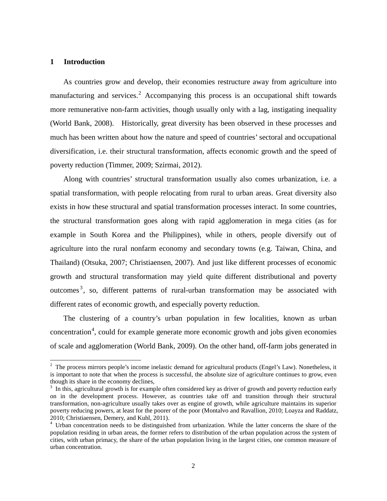#### **1 Introduction**

-

 As countries grow and develop, their economies restructure away from agriculture into manufacturing and services.<sup>[2](#page-3-0)</sup> Accompanying this process is an occupational shift towards more remunerative non-farm activities, though usually only with a lag, instigating inequality (World Bank, 2008). Historically, great diversity has been observed in these processes and much has been written about how the nature and speed of countries' sectoral and occupational diversification, i.e. their structural transformation, affects economic growth and the speed of poverty reduction (Timmer, 2009; Szirmai, 2012).

 Along with countries' structural transformation usually also comes urbanization, i.e. a spatial transformation, with people relocating from rural to urban areas. Great diversity also exists in how these structural and spatial transformation processes interact. In some countries, the structural transformation goes along with rapid agglomeration in mega cities (as for example in South Korea and the Philippines), while in others, people diversify out of agriculture into the rural nonfarm economy and secondary towns (e.g. Taiwan, China, and Thailand) (Otsuka, 2007; Christiaensen, 2007). And just like different processes of economic growth and structural transformation may yield quite different distributional and poverty outcomes<sup>[3](#page-3-1)</sup>, so, different patterns of rural-urban transformation may be associated with different rates of economic growth, and especially poverty reduction.

The clustering of a country's urban population in few localities, known as urban concentration<sup>[4](#page-3-2)</sup>, could for example generate more economic growth and jobs given economies of scale and agglomeration (World Bank, 2009). On the other hand, off-farm jobs generated in

<span id="page-3-0"></span> $2$  The process mirrors people's income inelastic demand for agricultural products (Engel's Law). Nonetheless, it is important to note that when the process is successful, the absolute size of agriculture continues to grow, even though its share in the economy declines,

<span id="page-3-1"></span> $3\,$  In this, agricultural growth is for example often considered key as driver of growth and poverty reduction early on in the development process. However, as countries take off and transition through their structural transformation, non-agriculture usually takes over as engine of growth, while agriculture maintains its superior poverty reducing powers, at least for the poorer of the poor (Montalvo and Ravallion, 2010; Loayza and Raddatz, 2010; Christiaensen, Demery, and Kuhl, 2011).

<span id="page-3-2"></span><sup>&</sup>lt;sup>4</sup> Urban concentration needs to be distinguished from urbanization. While the latter concerns the share of the population residing in urban areas, the former refers to distribution of the urban population across the system of cities, with urban primacy, the share of the urban population living in the largest cities, one common measure of urban concentration.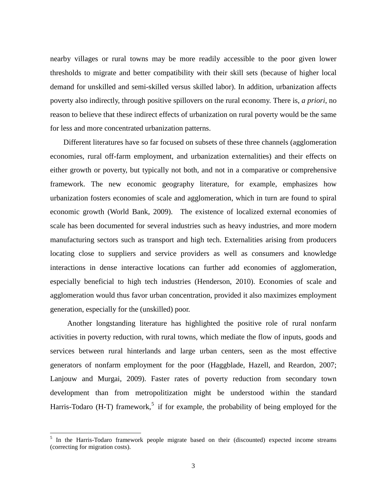nearby villages or rural towns may be more readily accessible to the poor given lower thresholds to migrate and better compatibility with their skill sets (because of higher local demand for unskilled and semi-skilled versus skilled labor). In addition, urbanization affects poverty also indirectly, through positive spillovers on the rural economy. There is, *a priori*, no reason to believe that these indirect effects of urbanization on rural poverty would be the same for less and more concentrated urbanization patterns.

Different literatures have so far focused on subsets of these three channels (agglomeration economies, rural off-farm employment, and urbanization externalities) and their effects on either growth or poverty, but typically not both, and not in a comparative or comprehensive framework. The new economic geography literature, for example, emphasizes how urbanization fosters economies of scale and agglomeration, which in turn are found to spiral economic growth (World Bank, 2009). The existence of localized external economies of scale has been documented for several industries such as heavy industries, and more modern manufacturing sectors such as transport and high tech. Externalities arising from producers locating close to suppliers and service providers as well as consumers and knowledge interactions in dense interactive locations can further add economies of agglomeration, especially beneficial to high tech industries (Henderson, 2010). Economies of scale and agglomeration would thus favor urban concentration, provided it also maximizes employment generation, especially for the (unskilled) poor.

 Another longstanding literature has highlighted the positive role of rural nonfarm activities in poverty reduction, with rural towns, which mediate the flow of inputs, goods and services between rural hinterlands and large urban centers, seen as the most effective generators of nonfarm employment for the poor (Haggblade, Hazell, and Reardon, 2007; Lanjouw and Murgai, 2009). Faster rates of poverty reduction from secondary town development than from metropolitization might be understood within the standard Harris-Todaro (H-T) framework,<sup>[5](#page-4-0)</sup> if for example, the probability of being employed for the

<span id="page-4-0"></span><sup>&</sup>lt;sup>5</sup> In the Harris-Todaro framework people migrate based on their (discounted) expected income streams (correcting for migration costs).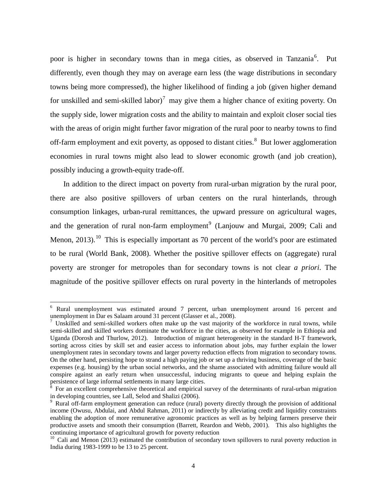poor is higher in secondary towns than in mega cities, as observed in Tanzania<sup>[6](#page-5-0)</sup>. Put differently, even though they may on average earn less (the wage distributions in secondary towns being more compressed), the higher likelihood of finding a job (given higher demand for unskilled and semi-skilled labor)<sup>[7](#page-5-1)</sup> may give them a higher chance of exiting poverty. On the supply side, lower migration costs and the ability to maintain and exploit closer social ties with the areas of origin might further favor migration of the rural poor to nearby towns to find off-farm employment and exit poverty, as opposed to distant cities.<sup>[8](#page-5-2)</sup> But lower agglomeration economies in rural towns might also lead to slower economic growth (and job creation), possibly inducing a growth-equity trade-off.

In addition to the direct impact on poverty from rural-urban migration by the rural poor, there are also positive spillovers of urban centers on the rural hinterlands, through consumption linkages, urban-rural remittances, the upward pressure on agricultural wages, and the generation of rural non-farm employment<sup>[9](#page-5-3)</sup> (Lanjouw and Murgai, 2009; Cali and Menon, 2013).<sup>[10](#page-5-4)</sup> This is especially important as 70 percent of the world's poor are estimated to be rural (World Bank, 2008). Whether the positive spillover effects on (aggregate) rural poverty are stronger for metropoles than for secondary towns is not clear *a priori*. The magnitude of the positive spillover effects on rural poverty in the hinterlands of metropoles

<span id="page-5-0"></span><sup>&</sup>lt;sup>6</sup> Rural unemployment was estimated around 7 percent, urban unemployment around 16 percent and unemployment in Dar es Salaam around 31 percent (Glasser et al., 2008).<br><sup>7</sup> Unskilled and semi-skilled workers often make up the vast majority of the workforce in rural towns, while

<span id="page-5-1"></span>semi-skilled and skilled workers dominate the workforce in the cities, as observed for example in Ethiopia and Uganda (Dorosh and Thurlow, 2012). Introduction of migrant heterogeneity in the standard H-T framework, sorting across cities by skill set and easier access to information about jobs, may further explain the lower unemployment rates in secondary towns and larger poverty reduction effects from migration to secondary towns. On the other hand, persisting hope to strand a high paying job or set up a thriving business, coverage of the basic expenses (e.g. housing) by the urban social networks, and the shame associated with admitting failure would all conspire against an early return when unsuccessful, inducing migrants to queue and helping explain the

<span id="page-5-2"></span> $8$  For an excellent comprehensive theoretical and empirical survey of the determinants of rural-urban migration in developing countries, see Lall, Selod and Shalizi (2006).

<span id="page-5-3"></span><sup>&</sup>lt;sup>9</sup> Rural off-farm employment generation can reduce (rural) poverty directly through the provision of additional income (Owusu, Abdulai, and Abdul Rahman, 2011) or indirectly by alleviating credit and liquidity constraints enabling the adoption of more remunerative agronomic practices as well as by helping farmers preserve their productive assets and smooth their consumption (Barrett, Reardon and Webb, 2001). This also highlights the continuing importance of agricultural growth for poverty reduction

<span id="page-5-4"></span> $10$  Cali and Menon (2013) estimated the contribution of secondary town spillovers to rural poverty reduction in India during 1983-1999 to be 13 to 25 percent.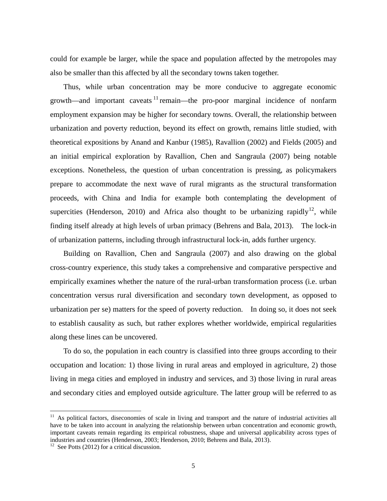could for example be larger, while the space and population affected by the metropoles may also be smaller than this affected by all the secondary towns taken together.

 Thus, while urban concentration may be more conducive to aggregate economic growth—and important caveats  $11$  remain—the pro-poor marginal incidence of nonfarm employment expansion may be higher for secondary towns. Overall, the relationship between urbanization and poverty reduction, beyond its effect on growth, remains little studied, with theoretical expositions by Anand and Kanbur (1985), Ravallion (2002) and Fields (2005) and an initial empirical exploration by Ravallion, Chen and Sangraula (2007) being notable exceptions. Nonetheless, the question of urban concentration is pressing, as policymakers prepare to accommodate the next wave of rural migrants as the structural transformation proceeds, with China and India for example both contemplating the development of supercities (Henderson, 2010) and Africa also thought to be urbanizing rapidly<sup>[12](#page-6-1)</sup>, while finding itself already at high levels of urban primacy (Behrens and Bala, 2013). The lock-in of urbanization patterns, including through infrastructural lock-in, adds further urgency.

Building on Ravallion, Chen and Sangraula (2007) and also drawing on the global cross-country experience, this study takes a comprehensive and comparative perspective and empirically examines whether the nature of the rural-urban transformation process (i.e. urban concentration versus rural diversification and secondary town development, as opposed to urbanization per se) matters for the speed of poverty reduction. In doing so, it does not seek to establish causality as such, but rather explores whether worldwide, empirical regularities along these lines can be uncovered.

To do so, the population in each country is classified into three groups according to their occupation and location: 1) those living in rural areas and employed in agriculture, 2) those living in mega cities and employed in industry and services, and 3) those living in rural areas and secondary cities and employed outside agriculture. The latter group will be referred to as

<span id="page-6-0"></span> $11$  As political factors, diseconomies of scale in living and transport and the nature of industrial activities all have to be taken into account in analyzing the relationship between urban concentration and economic growth, important caveats remain regarding its empirical robustness, shape and universal applicability across types of industries and countries (Henderson, 2003; Henderson, 2010; Behrens and Bala, 2013). <sup>12</sup> See Potts (2012) for a critical discussion.

<span id="page-6-1"></span>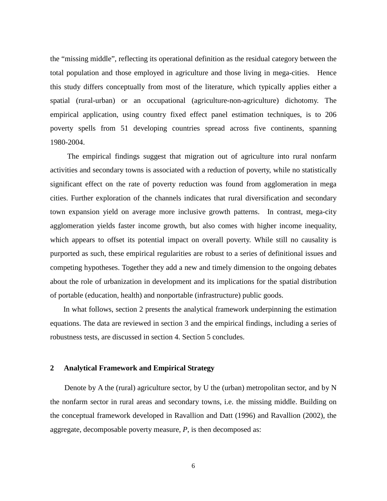the "missing middle", reflecting its operational definition as the residual category between the total population and those employed in agriculture and those living in mega-cities. Hence this study differs conceptually from most of the literature, which typically applies either a spatial (rural-urban) or an occupational (agriculture-non-agriculture) dichotomy. The empirical application, using country fixed effect panel estimation techniques, is to 206 poverty spells from 51 developing countries spread across five continents, spanning 1980-2004.

 The empirical findings suggest that migration out of agriculture into rural nonfarm activities and secondary towns is associated with a reduction of poverty, while no statistically significant effect on the rate of poverty reduction was found from agglomeration in mega cities. Further exploration of the channels indicates that rural diversification and secondary town expansion yield on average more inclusive growth patterns. In contrast, mega-city agglomeration yields faster income growth, but also comes with higher income inequality, which appears to offset its potential impact on overall poverty. While still no causality is purported as such, these empirical regularities are robust to a series of definitional issues and competing hypotheses. Together they add a new and timely dimension to the ongoing debates about the role of urbanization in development and its implications for the spatial distribution of portable (education, health) and nonportable (infrastructure) public goods.

In what follows, section 2 presents the analytical framework underpinning the estimation equations. The data are reviewed in section 3 and the empirical findings, including a series of robustness tests, are discussed in section 4. Section 5 concludes.

#### **2 Analytical Framework and Empirical Strategy**

Denote by A the (rural) agriculture sector, by U the (urban) metropolitan sector, and by N the nonfarm sector in rural areas and secondary towns, i.e. the missing middle. Building on the conceptual framework developed in Ravallion and Datt (1996) and Ravallion (2002), the aggregate, decomposable poverty measure, *P*, is then decomposed as: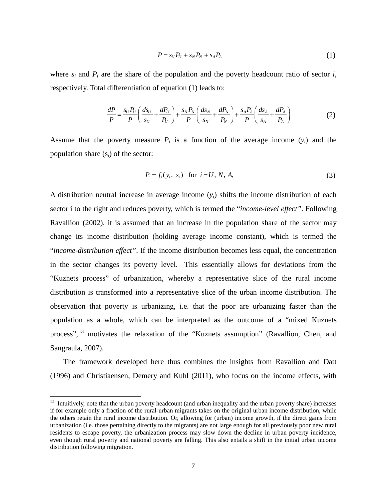$$
P = s_U P_U + s_N P_N + s_A P_A \tag{1}
$$

where  $s_i$  and  $P_i$  are the share of the population and the poverty headcount ratio of sector *i*, respectively. Total differentiation of equation (1) leads to:

$$
\frac{dP}{P} = \frac{s_U P_U}{P} \left( \frac{ds_U}{s_U} + \frac{dP_U}{P_U} \right) + \frac{s_N P_N}{P} \left( \frac{ds_N}{s_N} + \frac{dP_N}{P_N} \right) + \frac{s_A P_A}{P} \left( \frac{ds_A}{s_A} + \frac{dP_A}{P_A} \right) \tag{2}
$$

Assume that the poverty measure  $P_i$  is a function of the average income  $(y_i)$  and the population share  $(s_i)$  of the sector:

$$
P_i = f_i(y_i, s_i) \quad \text{for} \quad i = U, N, A,
$$
\n
$$
(3)
$$

A distribution neutral increase in average income (*yi*) shifts the income distribution of each sector i to the right and reduces poverty, which is termed the "*income-level effect"*. Following Ravallion (2002), it is assumed that an increase in the population share of the sector may change its income distribution (holding average income constant), which is termed the "*income-distribution effect"*. If the income distribution becomes less equal, the concentration in the sector changes its poverty level. This essentially allows for deviations from the "Kuznets process" of urbanization, whereby a representative slice of the rural income distribution is transformed into a representative slice of the urban income distribution. The observation that poverty is urbanizing, i.e. that the poor are urbanizing faster than the population as a whole, which can be interpreted as the outcome of a "mixed Kuznets process",<sup>[13](#page-8-0)</sup> motivates the relaxation of the "Kuznets assumption" (Ravallion, Chen, and Sangraula, 2007).

The framework developed here thus combines the insights from Ravallion and Datt (1996) and Christiaensen, Demery and Kuhl (2011), who focus on the income effects, with

<span id="page-8-0"></span><sup>&</sup>lt;sup>13</sup> Intuitively, note that the urban poverty headcount (and urban inequality and the urban poverty share) increases if for example only a fraction of the rural-urban migrants takes on the original urban income distribution, while the others retain the rural income distribution. Or, allowing for (urban) income growth, if the direct gains from urbanization (i.e. those pertaining directly to the migrants) are not large enough for all previously poor new rural residents to escape poverty, the urbanization process may slow down the decline in urban poverty incidence, even though rural poverty and national poverty are falling. This also entails a shift in the initial urban income distribution following migration.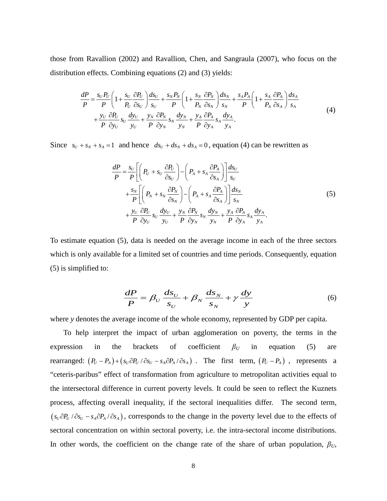those from Ravallion (2002) and Ravallion, Chen, and Sangraula (2007), who focus on the distribution effects. Combining equations (2) and (3) yields:

$$
\frac{dP}{P} = \frac{s_U P_U}{P} \left( 1 + \frac{s_U}{P_U} \frac{\partial P_U}{\partial s_U} \right) \frac{ds_U}{s_U} + \frac{s_N P_N}{P} \left( 1 + \frac{s_N}{P_N} \frac{\partial P_N}{\partial s_N} \right) \frac{ds_N}{s_N} + \frac{s_A P_A}{P} \left( 1 + \frac{s_A}{P_A} \frac{\partial P_A}{\partial s_A} \right) \frac{ds_A}{s_A} + \frac{y_U}{P} \frac{\partial P_U}{\partial y_U} s_U \frac{dy_U}{y_U} + \frac{y_N}{P} \frac{\partial P_N}{\partial y_N} s_N \frac{dy_N}{y_N} + \frac{y_A}{P} \frac{\partial P_A}{\partial y_A} s_A \frac{dy_A}{y_A}.
$$
\n(4)

Since  $s_U + s_N + s_A = 1$  and hence  $ds_U + ds_N + ds_A = 0$ , equation (4) can be rewritten as

$$
\frac{dP}{P} = \frac{s_U}{P} \left[ \left( P_U + s_U \frac{\partial P_U}{\partial s_U} \right) - \left( P_A + s_A \frac{\partial P_A}{\partial s_A} \right) \right] \frac{ds_U}{s_U} \n+ \frac{s_N}{P} \left[ \left( P_N + s_N \frac{\partial P_N}{\partial s_N} \right) - \left( P_A + s_A \frac{\partial P_A}{\partial s_A} \right) \right] \frac{ds_N}{s_N} \n+ \frac{y_U}{P} \frac{\partial P_U}{\partial y_U} s_U \frac{dy_U}{y_U} + \frac{y_N}{P} \frac{\partial P_N}{\partial y_N} s_N \frac{dy_N}{y_N} + \frac{y_A}{P} \frac{\partial P_A}{\partial y_A} s_A \frac{dy_A}{y_A}.
$$
\n(5)

To estimate equation (5), data is needed on the average income in each of the three sectors which is only available for a limited set of countries and time periods. Consequently, equation (5) is simplified to:

$$
\frac{dP}{P} = \beta_U \frac{ds_U}{s_U} + \beta_N \frac{ds_N}{s_N} + \gamma \frac{dy}{y}
$$
(6)

where *y* denotes the average income of the whole economy, represented by GDP per capita.

To help interpret the impact of urban agglomeration on poverty, the terms in the expression in the brackets of coefficient  $\beta_U$  in equation (5) are rearranged:  $(P_U - P_A) + (s_U \partial P_U / \partial s_U - s_A \partial P_A / \partial s_A)$ . The first term,  $(P_U - P_A)$ , represents a "ceteris-paribus" effect of transformation from agriculture to metropolitan activities equal to the intersectoral difference in current poverty levels. It could be seen to reflect the Kuznets process, affecting overall inequality, if the sectoral inequalities differ. The second term,  $(s_U \partial P_U / \partial s_U - s_A \partial P_A / \partial s_A)$ , corresponds to the change in the poverty level due to the effects of sectoral concentration on within sectoral poverty, i.e. the intra-sectoral income distributions. In other words, the coefficient on the change rate of the share of urban population,  $\beta_U$ ,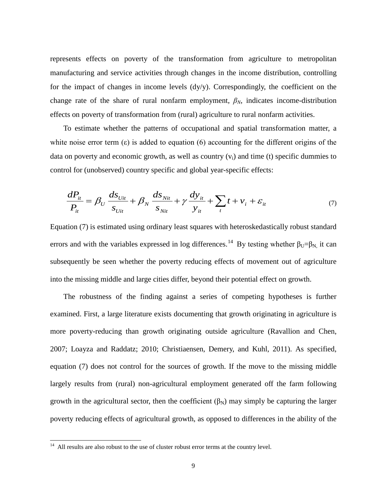represents effects on poverty of the transformation from agriculture to metropolitan manufacturing and service activities through changes in the income distribution, controlling for the impact of changes in income levels (dy/y). Correspondingly, the coefficient on the change rate of the share of rural nonfarm employment, *βN*, indicates income-distribution effects on poverty of transformation from (rural) agriculture to rural nonfarm activities.

To estimate whether the patterns of occupational and spatial transformation matter, a white noise error term  $(\epsilon)$  is added to equation (6) accounting for the different origins of the data on poverty and economic growth, as well as country  $(v_i)$  and time (t) specific dummies to control for (unobserved) country specific and global year-specific effects:

$$
\frac{dP_{it}}{P_{it}} = \beta_U \frac{dS_{Uit}}{S_{Uit}} + \beta_N \frac{dS_{Nit}}{S_{Nit}} + \gamma \frac{dY_{it}}{Y_{it}} + \sum_t t + V_i + \varepsilon_{it}
$$
\n(7)

Equation (7) is estimated using ordinary least squares with heteroskedastically robust standard errors and with the variables expressed in log differences.<sup>[14](#page-10-0)</sup> By testing whether  $\beta_U = \beta_N$ , it can subsequently be seen whether the poverty reducing effects of movement out of agriculture into the missing middle and large cities differ, beyond their potential effect on growth.

The robustness of the finding against a series of competing hypotheses is further examined. First, a large literature exists documenting that growth originating in agriculture is more poverty-reducing than growth originating outside agriculture (Ravallion and Chen, 2007; Loayza and Raddatz; 2010; Christiaensen, Demery, and Kuhl, 2011). As specified, equation (7) does not control for the sources of growth. If the move to the missing middle largely results from (rural) non-agricultural employment generated off the farm following growth in the agricultural sector, then the coefficient  $(\beta_N)$  may simply be capturing the larger poverty reducing effects of agricultural growth, as opposed to differences in the ability of the

<span id="page-10-0"></span> $14$  All results are also robust to the use of cluster robust error terms at the country level.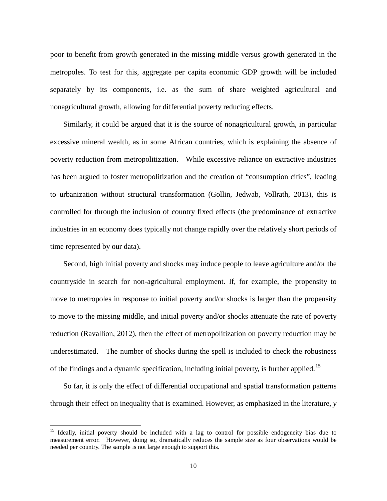poor to benefit from growth generated in the missing middle versus growth generated in the metropoles. To test for this, aggregate per capita economic GDP growth will be included separately by its components, i.e. as the sum of share weighted agricultural and nonagricultural growth, allowing for differential poverty reducing effects.

Similarly, it could be argued that it is the source of nonagricultural growth, in particular excessive mineral wealth, as in some African countries, which is explaining the absence of poverty reduction from metropolitization. While excessive reliance on extractive industries has been argued to foster metropolitization and the creation of "consumption cities", leading to urbanization without structural transformation (Gollin, Jedwab, Vollrath, 2013), this is controlled for through the inclusion of country fixed effects (the predominance of extractive industries in an economy does typically not change rapidly over the relatively short periods of time represented by our data).

Second, high initial poverty and shocks may induce people to leave agriculture and/or the countryside in search for non-agricultural employment. If, for example, the propensity to move to metropoles in response to initial poverty and/or shocks is larger than the propensity to move to the missing middle, and initial poverty and/or shocks attenuate the rate of poverty reduction (Ravallion, 2012), then the effect of metropolitization on poverty reduction may be underestimated. The number of shocks during the spell is included to check the robustness of the findings and a dynamic specification, including initial poverty, is further applied.<sup>[15](#page-11-0)</sup>

So far, it is only the effect of differential occupational and spatial transformation patterns through their effect on inequality that is examined. However, as emphasized in the literature, *y*

<span id="page-11-0"></span><sup>&</sup>lt;sup>15</sup> Ideally, initial poverty should be included with a lag to control for possible endogeneity bias due to measurement error. However, doing so, dramatically reduces the sample size as four observations would be needed per country. The sample is not large enough to support this.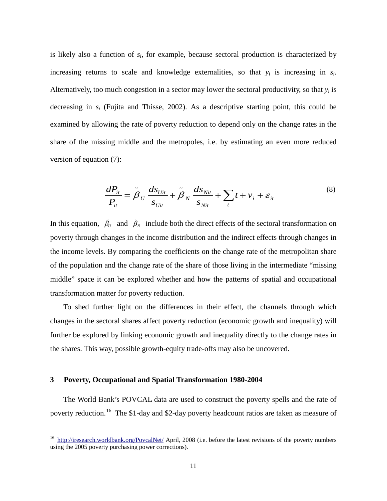is likely also a function of *si*, for example, because sectoral production is characterized by increasing returns to scale and knowledge externalities, so that  $y_i$  is increasing in  $s_i$ . Alternatively, too much congestion in a sector may lower the sectoral productivity, so that  $y_i$  is decreasing in *si* (Fujita and Thisse, 2002). As a descriptive starting point, this could be examined by allowing the rate of poverty reduction to depend only on the change rates in the share of the missing middle and the metropoles, i.e. by estimating an even more reduced version of equation (7):

$$
\frac{dP_{it}}{P_{it}} = \tilde{\beta}_U \frac{dS_{Uit}}{S_{Uit}} + \tilde{\beta}_N \frac{dS_{Nit}}{S_{Nit}} + \sum_t t + v_i + \varepsilon_{it}
$$
\n(8)

In this equation,  $\tilde{\beta}_U$  and  $\tilde{\beta}_N$  include both the direct effects of the sectoral transformation on poverty through changes in the income distribution and the indirect effects through changes in the income levels. By comparing the coefficients on the change rate of the metropolitan share of the population and the change rate of the share of those living in the intermediate "missing middle" space it can be explored whether and how the patterns of spatial and occupational transformation matter for poverty reduction.

To shed further light on the differences in their effect, the channels through which changes in the sectoral shares affect poverty reduction (economic growth and inequality) will further be explored by linking economic growth and inequality directly to the change rates in the shares. This way, possible growth-equity trade-offs may also be uncovered.

#### **3 Poverty, Occupational and Spatial Transformation 1980-2004**

-

The World Bank's POVCAL data are used to construct the poverty spells and the rate of poverty reduction.<sup>[16](#page-12-0)</sup> The \$1-day and \$2-day poverty headcount ratios are taken as measure of

<span id="page-12-0"></span><sup>&</sup>lt;sup>16</sup> <http://iresearch.worldbank.org/PovcalNet/> April, 2008 (i.e. before the latest revisions of the poverty numbers using the 2005 poverty purchasing power corrections).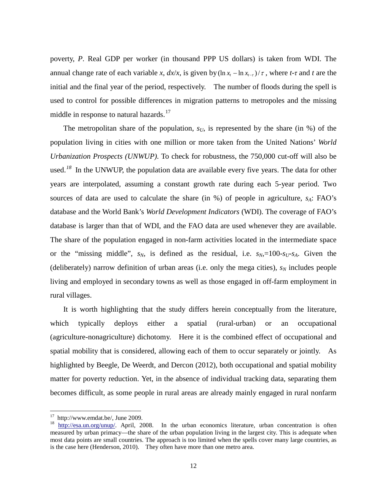poverty, *P*. Real GDP per worker (in thousand PPP US dollars) is taken from WDI. The annual change rate of each variable *x*,  $dx/x$ , is given by  $(\ln x_t - \ln x_{t-\tau})/\tau$ , where *t*-*τ* and *t* are the initial and the final year of the period, respectively. The number of floods during the spell is used to control for possible differences in migration patterns to metropoles and the missing middle in response to natural hazards. $17$ 

The metropolitan share of the population,  $s_U$ , is represented by the share (in %) of the population living in cities with one million or more taken from the United Nations' *World Urbanization Prospects (UNWUP)*. To check for robustness, the 750,000 cut-off will also be used.<sup>[18](#page-13-1)</sup> In the UNWUP, the population data are available every five years. The data for other years are interpolated, assuming a constant growth rate during each 5-year period. Two sources of data are used to calculate the share (in  $\%$ ) of people in agriculture,  $s_A$ : FAO's database and the World Bank's *World Development Indicators* (WDI). The coverage of FAO's database is larger than that of WDI, and the FAO data are used whenever they are available. The share of the population engaged in non-farm activities located in the intermediate space or the "missing middle",  $s_N$ , is defined as the residual, i.e.  $s_N = 100 - s_U - s_A$ . Given the (deliberately) narrow definition of urban areas (i.e. only the mega cities),  $s_N$  includes people living and employed in secondary towns as well as those engaged in off-farm employment in rural villages.

It is worth highlighting that the study differs herein conceptually from the literature, which typically deploys either a spatial (rural-urban) or an occupational (agriculture-nonagriculture) dichotomy. Here it is the combined effect of occupational and spatial mobility that is considered, allowing each of them to occur separately or jointly. As highlighted by Beegle, De Weerdt, and Dercon (2012), both occupational and spatial mobility matter for poverty reduction. Yet, in the absence of individual tracking data, separating them becomes difficult, as some people in rural areas are already mainly engaged in rural nonfarm

<span id="page-13-0"></span> $17$  http://www.emdat.be/, June 2009.

<span id="page-13-1"></span> $\frac{18 \text{ http://esa.un.org/unup/}}{\text{http://esa.un.org/unup/}}$ . April, 2008. In the urban economics literature, urban concentration is often measured by urban primacy—the share of the urban population living in the largest city. This is adequate when most data points are small countries. The approach is too limited when the spells cover many large countries, as is the case here (Henderson, 2010). They often have more than one metro area.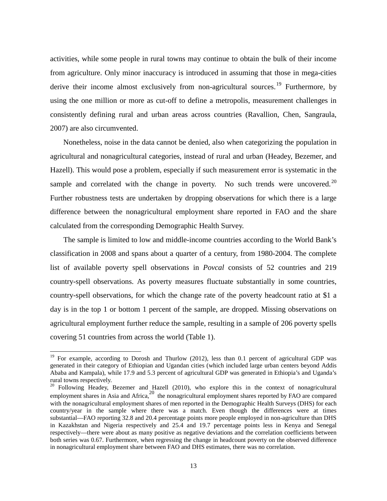activities, while some people in rural towns may continue to obtain the bulk of their income from agriculture. Only minor inaccuracy is introduced in assuming that those in mega-cities derive their income almost exclusively from non-agricultural sources.<sup>[19](#page-14-0)</sup> Furthermore, by using the one million or more as cut-off to define a metropolis, measurement challenges in consistently defining rural and urban areas across countries (Ravallion, Chen, Sangraula, 2007) are also circumvented.

Nonetheless, noise in the data cannot be denied, also when categorizing the population in agricultural and nonagricultural categories, instead of rural and urban (Headey, Bezemer, and Hazell). This would pose a problem, especially if such measurement error is systematic in the sample and correlated with the change in poverty. No such trends were uncovered.<sup>[20](#page-14-1)</sup> Further robustness tests are undertaken by dropping observations for which there is a large difference between the nonagricultural employment share reported in FAO and the share calculated from the corresponding Demographic Health Survey.

The sample is limited to low and middle-income countries according to the World Bank's classification in 2008 and spans about a quarter of a century, from 1980-2004. The complete list of available poverty spell observations in *Povcal* consists of 52 countries and 219 country-spell observations. As poverty measures fluctuate substantially in some countries, country-spell observations, for which the change rate of the poverty headcount ratio at \$1 a day is in the top 1 or bottom 1 percent of the sample, are dropped. Missing observations on agricultural employment further reduce the sample, resulting in a sample of 206 poverty spells covering 51 countries from across the world (Table 1).

<span id="page-14-0"></span><sup>&</sup>lt;sup>19</sup> For example, according to Dorosh and Thurlow (2012), less than 0.1 percent of agricultural GDP was generated in their category of Ethiopian and Ugandan cities (which included large urban centers beyond Addis Ababa and Kampala), while 17.9 and 5.3 percent of agricultural GDP was generated in Ethiopia's and Uganda's rural towns respectively.

<span id="page-14-1"></span><sup>&</sup>lt;sup>20</sup> Following Headey, Bezemer and Hazell (2010), who explore this in the context of nonagricultural employment shares in Asia and Africa,<sup>20</sup> the nonagricultural employment shares reported by FAO are compared with the nonagricultural employment shares of men reported in the Demographic Health Surveys (DHS) for each country/year in the sample where there was a match. Even though the differences were at times substantial—FAO reporting 32.8 and 20.4 percentage points more people employed in non-agriculture than DHS in Kazakhstan and Nigeria respectively and 25.4 and 19.7 percentage points less in Kenya and Senegal respectively—there were about as many positive as negative deviations and the correlation coefficients between both series was 0.67. Furthermore, when regressing the change in headcount poverty on the observed difference in nonagricultural employment share between FAO and DHS estimates, there was no correlation.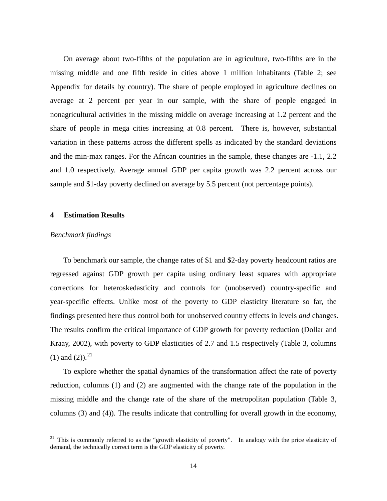On average about two-fifths of the population are in agriculture, two-fifths are in the missing middle and one fifth reside in cities above 1 million inhabitants (Table 2; see Appendix for details by country). The share of people employed in agriculture declines on average at 2 percent per year in our sample, with the share of people engaged in nonagricultural activities in the missing middle on average increasing at 1.2 percent and the share of people in mega cities increasing at 0.8 percent. There is, however, substantial variation in these patterns across the different spells as indicated by the standard deviations and the min-max ranges. For the African countries in the sample, these changes are -1.1, 2.2 and 1.0 respectively. Average annual GDP per capita growth was 2.2 percent across our sample and \$1-day poverty declined on average by 5.5 percent (not percentage points).

#### **4 Estimation Results**

#### *Benchmark findings*

-

 To benchmark our sample, the change rates of \$1 and \$2-day poverty headcount ratios are regressed against GDP growth per capita using ordinary least squares with appropriate corrections for heteroskedasticity and controls for (unobserved) country-specific and year-specific effects. Unlike most of the poverty to GDP elasticity literature so far, the findings presented here thus control both for unobserved country effects in levels *and* changes. The results confirm the critical importance of GDP growth for poverty reduction (Dollar and Kraay, 2002), with poverty to GDP elasticities of 2.7 and 1.5 respectively (Table 3, columns  $(1)$  and  $(2)$ ).<sup>[21](#page-15-0)</sup>

To explore whether the spatial dynamics of the transformation affect the rate of poverty reduction, columns (1) and (2) are augmented with the change rate of the population in the missing middle and the change rate of the share of the metropolitan population (Table 3, columns (3) and (4)). The results indicate that controlling for overall growth in the economy,

<span id="page-15-0"></span><sup>&</sup>lt;sup>21</sup> This is commonly referred to as the "growth elasticity of poverty". In analogy with the price elasticity of demand, the technically correct term is the GDP elasticity of poverty.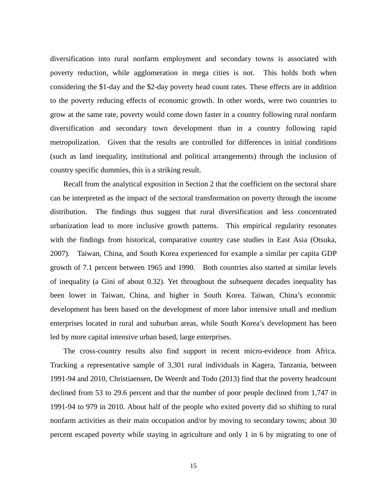diversification into rural nonfarm employment and secondary towns is associated with poverty reduction, while agglomeration in mega cities is not. This holds both when considering the \$1-day and the \$2-day poverty head count rates. These effects are in addition to the poverty reducing effects of economic growth. In other words, were two countries to grow at the same rate, poverty would come down faster in a country following rural nonfarm diversification and secondary town development than in a country following rapid metropolization. Given that the results are controlled for differences in initial conditions (such as land inequality, institutional and political arrangements) through the inclusion of country specific dummies, this is a striking result.

 Recall from the analytical exposition in Section 2 that the coefficient on the sectoral share can be interpreted as the impact of the sectoral transformation on poverty through the income distribution. The findings thus suggest that rural diversification and less concentrated urbanization lead to more inclusive growth patterns. This empirical regularity resonates with the findings from historical, comparative country case studies in East Asia (Otsuka, 2007). Taiwan, China, and South Korea experienced for example a similar per capita GDP growth of 7.1 percent between 1965 and 1990. Both countries also started at similar levels of inequality (a Gini of about 0.32). Yet throughout the subsequent decades inequality has been lower in Taiwan, China, and higher in South Korea. Taiwan, China's economic development has been based on the development of more labor intensive small and medium enterprises located in rural and suburban areas, while South Korea's development has been led by more capital intensive urban based, large enterprises.

The cross-country results also find support in recent micro-evidence from Africa. Tracking a representative sample of 3,301 rural individuals in Kagera, Tanzania, between 1991-94 and 2010, Christiaensen, De Weerdt and Todo (2013) find that the poverty headcount declined from 53 to 29.6 percent and that the number of poor people declined from 1,747 in 1991-94 to 979 in 2010. About half of the people who exited poverty did so shifting to rural nonfarm activities as their main occupation and/or by moving to secondary towns; about 30 percent escaped poverty while staying in agriculture and only 1 in 6 by migrating to one of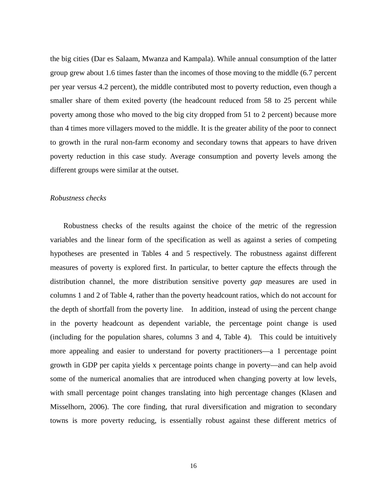the big cities (Dar es Salaam, Mwanza and Kampala). While annual consumption of the latter group grew about 1.6 times faster than the incomes of those moving to the middle (6.7 percent per year versus 4.2 percent), the middle contributed most to poverty reduction, even though a smaller share of them exited poverty (the headcount reduced from 58 to 25 percent while poverty among those who moved to the big city dropped from 51 to 2 percent) because more than 4 times more villagers moved to the middle. It is the greater ability of the poor to connect to growth in the rural non-farm economy and secondary towns that appears to have driven poverty reduction in this case study. Average consumption and poverty levels among the different groups were similar at the outset.

#### *Robustness checks*

Robustness checks of the results against the choice of the metric of the regression variables and the linear form of the specification as well as against a series of competing hypotheses are presented in Tables 4 and 5 respectively. The robustness against different measures of poverty is explored first. In particular, to better capture the effects through the distribution channel, the more distribution sensitive poverty *gap* measures are used in columns 1 and 2 of Table 4, rather than the poverty headcount ratios, which do not account for the depth of shortfall from the poverty line. In addition, instead of using the percent change in the poverty headcount as dependent variable, the percentage point change is used (including for the population shares, columns 3 and 4, Table 4). This could be intuitively more appealing and easier to understand for poverty practitioners—a 1 percentage point growth in GDP per capita yields x percentage points change in poverty—and can help avoid some of the numerical anomalies that are introduced when changing poverty at low levels, with small percentage point changes translating into high percentage changes (Klasen and Misselhorn, 2006). The core finding, that rural diversification and migration to secondary towns is more poverty reducing, is essentially robust against these different metrics of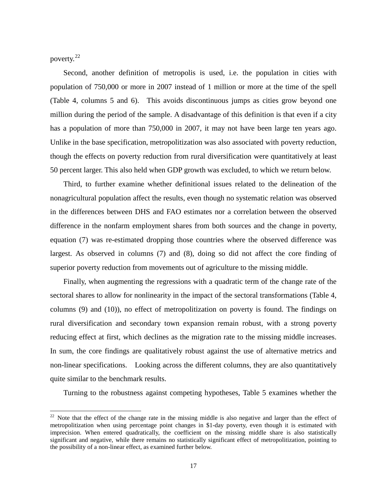poverty.[22](#page-18-0) 

-

Second, another definition of metropolis is used, i.e. the population in cities with population of 750,000 or more in 2007 instead of 1 million or more at the time of the spell (Table 4, columns 5 and 6). This avoids discontinuous jumps as cities grow beyond one million during the period of the sample. A disadvantage of this definition is that even if a city has a population of more than 750,000 in 2007, it may not have been large ten years ago. Unlike in the base specification, metropolitization was also associated with poverty reduction, though the effects on poverty reduction from rural diversification were quantitatively at least 50 percent larger. This also held when GDP growth was excluded, to which we return below.

Third, to further examine whether definitional issues related to the delineation of the nonagricultural population affect the results, even though no systematic relation was observed in the differences between DHS and FAO estimates nor a correlation between the observed difference in the nonfarm employment shares from both sources and the change in poverty, equation (7) was re-estimated dropping those countries where the observed difference was largest. As observed in columns (7) and (8), doing so did not affect the core finding of superior poverty reduction from movements out of agriculture to the missing middle.

 Finally, when augmenting the regressions with a quadratic term of the change rate of the sectoral shares to allow for nonlinearity in the impact of the sectoral transformations (Table 4, columns (9) and (10)), no effect of metropolitization on poverty is found. The findings on rural diversification and secondary town expansion remain robust, with a strong poverty reducing effect at first, which declines as the migration rate to the missing middle increases. In sum, the core findings are qualitatively robust against the use of alternative metrics and non-linear specifications. Looking across the different columns, they are also quantitatively quite similar to the benchmark results.

Turning to the robustness against competing hypotheses, Table 5 examines whether the

<span id="page-18-0"></span> $22$  Note that the effect of the change rate in the missing middle is also negative and larger than the effect of metropolitization when using percentage point changes in \$1-day poverty, even though it is estimated with imprecision. When entered quadratically, the coefficient on the missing middle share is also statistically significant and negative, while there remains no statistically significant effect of metropolitization, pointing to the possibility of a non-linear effect, as examined further below.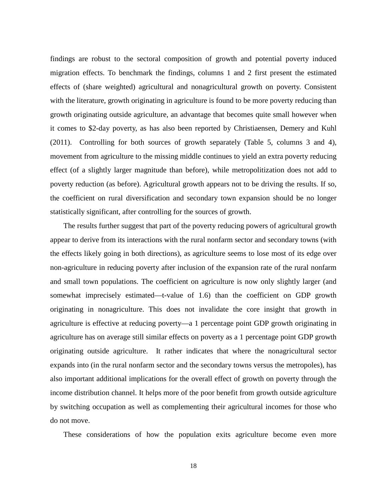findings are robust to the sectoral composition of growth and potential poverty induced migration effects. To benchmark the findings, columns 1 and 2 first present the estimated effects of (share weighted) agricultural and nonagricultural growth on poverty. Consistent with the literature, growth originating in agriculture is found to be more poverty reducing than growth originating outside agriculture, an advantage that becomes quite small however when it comes to \$2-day poverty, as has also been reported by Christiaensen, Demery and Kuhl (2011). Controlling for both sources of growth separately (Table 5, columns 3 and 4), movement from agriculture to the missing middle continues to yield an extra poverty reducing effect (of a slightly larger magnitude than before), while metropolitization does not add to poverty reduction (as before). Agricultural growth appears not to be driving the results. If so, the coefficient on rural diversification and secondary town expansion should be no longer statistically significant, after controlling for the sources of growth.

 The results further suggest that part of the poverty reducing powers of agricultural growth appear to derive from its interactions with the rural nonfarm sector and secondary towns (with the effects likely going in both directions), as agriculture seems to lose most of its edge over non-agriculture in reducing poverty after inclusion of the expansion rate of the rural nonfarm and small town populations. The coefficient on agriculture is now only slightly larger (and somewhat imprecisely estimated—t-value of 1.6) than the coefficient on GDP growth originating in nonagriculture. This does not invalidate the core insight that growth in agriculture is effective at reducing poverty—a 1 percentage point GDP growth originating in agriculture has on average still similar effects on poverty as a 1 percentage point GDP growth originating outside agriculture. It rather indicates that where the nonagricultural sector expands into (in the rural nonfarm sector and the secondary towns versus the metropoles), has also important additional implications for the overall effect of growth on poverty through the income distribution channel. It helps more of the poor benefit from growth outside agriculture by switching occupation as well as complementing their agricultural incomes for those who do not move.

These considerations of how the population exits agriculture become even more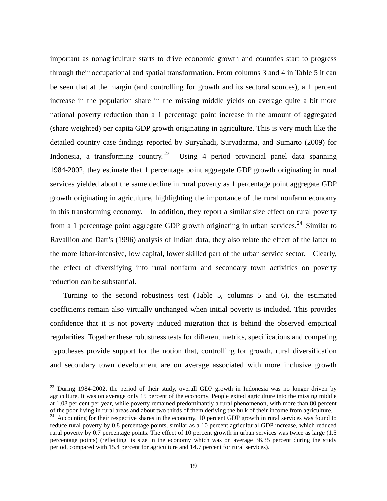important as nonagriculture starts to drive economic growth and countries start to progress through their occupational and spatial transformation. From columns 3 and 4 in Table 5 it can be seen that at the margin (and controlling for growth and its sectoral sources), a 1 percent increase in the population share in the missing middle yields on average quite a bit more national poverty reduction than a 1 percentage point increase in the amount of aggregated (share weighted) per capita GDP growth originating in agriculture. This is very much like the detailed country case findings reported by Suryahadi, Suryadarma, and Sumarto (2009) for Indonesia, a transforming country.<sup>[23](#page-20-0)</sup> Using 4 period provincial panel data spanning 1984-2002, they estimate that 1 percentage point aggregate GDP growth originating in rural services yielded about the same decline in rural poverty as 1 percentage point aggregate GDP growth originating in agriculture, highlighting the importance of the rural nonfarm economy in this transforming economy. In addition, they report a similar size effect on rural poverty from a 1 percentage point aggregate GDP growth originating in urban services.<sup>[24](#page-20-1)</sup> Similar to Ravallion and Datt's (1996) analysis of Indian data, they also relate the effect of the latter to the more labor-intensive, low capital, lower skilled part of the urban service sector. Clearly, the effect of diversifying into rural nonfarm and secondary town activities on poverty reduction can be substantial.

Turning to the second robustness test (Table 5, columns 5 and 6), the estimated coefficients remain also virtually unchanged when initial poverty is included. This provides confidence that it is not poverty induced migration that is behind the observed empirical regularities. Together these robustness tests for different metrics, specifications and competing hypotheses provide support for the notion that, controlling for growth, rural diversification and secondary town development are on average associated with more inclusive growth

<span id="page-20-0"></span> $23$  During 1984-2002, the period of their study, overall GDP growth in Indonesia was no longer driven by agriculture. It was on average only 15 percent of the economy. People exited agriculture into the missing middle at 1.08 per cent per year, while poverty remained predominantly a rural phenomenon, with more than 80 percent of the poor living in rural areas and about two thirds of them deriving the bulk of their income from agriculture.<br><sup>24</sup> Accounting for their respective shares in the economy, 10 percent GDP growth in rural services was fo

<span id="page-20-1"></span>reduce rural poverty by 0.8 percentage points, similar as a 10 percent agricultural GDP increase, which reduced rural poverty by 0.7 percentage points. The effect of 10 percent growth in urban services was twice as large (1.5 percentage points) (reflecting its size in the economy which was on average 36.35 percent during the study period, compared with 15.4 percent for agriculture and 14.7 percent for rural services).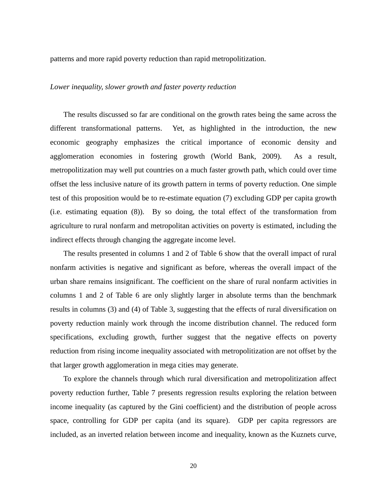patterns and more rapid poverty reduction than rapid metropolitization.

#### *Lower inequality, slower growth and faster poverty reduction*

The results discussed so far are conditional on the growth rates being the same across the different transformational patterns. Yet, as highlighted in the introduction, the new economic geography emphasizes the critical importance of economic density and agglomeration economies in fostering growth (World Bank, 2009). As a result, metropolitization may well put countries on a much faster growth path, which could over time offset the less inclusive nature of its growth pattern in terms of poverty reduction. One simple test of this proposition would be to re-estimate equation (7) excluding GDP per capita growth (i.e. estimating equation (8)). By so doing, the total effect of the transformation from agriculture to rural nonfarm and metropolitan activities on poverty is estimated, including the indirect effects through changing the aggregate income level.

The results presented in columns 1 and 2 of Table 6 show that the overall impact of rural nonfarm activities is negative and significant as before, whereas the overall impact of the urban share remains insignificant. The coefficient on the share of rural nonfarm activities in columns 1 and 2 of Table 6 are only slightly larger in absolute terms than the benchmark results in columns (3) and (4) of Table 3, suggesting that the effects of rural diversification on poverty reduction mainly work through the income distribution channel. The reduced form specifications, excluding growth, further suggest that the negative effects on poverty reduction from rising income inequality associated with metropolitization are not offset by the that larger growth agglomeration in mega cities may generate.

To explore the channels through which rural diversification and metropolitization affect poverty reduction further, Table 7 presents regression results exploring the relation between income inequality (as captured by the Gini coefficient) and the distribution of people across space, controlling for GDP per capita (and its square). GDP per capita regressors are included, as an inverted relation between income and inequality, known as the Kuznets curve,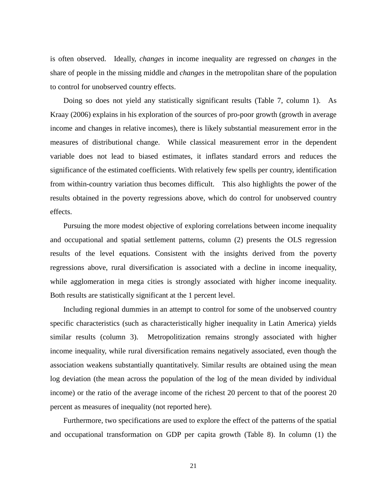is often observed. Ideally, *changes* in income inequality are regressed on *changes* in the share of people in the missing middle and *changes* in the metropolitan share of the population to control for unobserved country effects.

 Doing so does not yield any statistically significant results (Table 7, column 1). As Kraay (2006) explains in his exploration of the sources of pro-poor growth (growth in average income and changes in relative incomes), there is likely substantial measurement error in the measures of distributional change. While classical measurement error in the dependent variable does not lead to biased estimates, it inflates standard errors and reduces the significance of the estimated coefficients. With relatively few spells per country, identification from within-country variation thus becomes difficult. This also highlights the power of the results obtained in the poverty regressions above, which do control for unobserved country effects.

Pursuing the more modest objective of exploring correlations between income inequality and occupational and spatial settlement patterns, column (2) presents the OLS regression results of the level equations. Consistent with the insights derived from the poverty regressions above, rural diversification is associated with a decline in income inequality, while agglomeration in mega cities is strongly associated with higher income inequality. Both results are statistically significant at the 1 percent level.

Including regional dummies in an attempt to control for some of the unobserved country specific characteristics (such as characteristically higher inequality in Latin America) yields similar results (column 3). Metropolitization remains strongly associated with higher income inequality, while rural diversification remains negatively associated, even though the association weakens substantially quantitatively. Similar results are obtained using the mean log deviation (the mean across the population of the log of the mean divided by individual income) or the ratio of the average income of the richest 20 percent to that of the poorest 20 percent as measures of inequality (not reported here).

 Furthermore, two specifications are used to explore the effect of the patterns of the spatial and occupational transformation on GDP per capita growth (Table 8). In column (1) the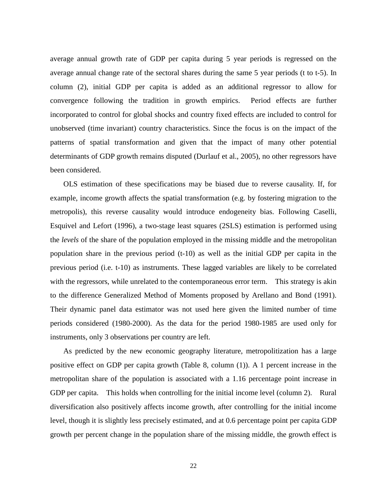average annual growth rate of GDP per capita during 5 year periods is regressed on the average annual change rate of the sectoral shares during the same 5 year periods (t to t-5). In column (2), initial GDP per capita is added as an additional regressor to allow for convergence following the tradition in growth empirics. Period effects are further incorporated to control for global shocks and country fixed effects are included to control for unobserved (time invariant) country characteristics. Since the focus is on the impact of the patterns of spatial transformation and given that the impact of many other potential determinants of GDP growth remains disputed (Durlauf et al., 2005), no other regressors have been considered.

OLS estimation of these specifications may be biased due to reverse causality. If, for example, income growth affects the spatial transformation (e.g. by fostering migration to the metropolis), this reverse causality would introduce endogeneity bias. Following Caselli, Esquivel and Lefort (1996), a two-stage least squares (2SLS) estimation is performed using the *levels* of the share of the population employed in the missing middle and the metropolitan population share in the previous period (t-10) as well as the initial GDP per capita in the previous period (i.e. t-10) as instruments. These lagged variables are likely to be correlated with the regressors, while unrelated to the contemporaneous error term. This strategy is akin to the difference Generalized Method of Moments proposed by Arellano and Bond (1991). Their dynamic panel data estimator was not used here given the limited number of time periods considered (1980-2000). As the data for the period 1980-1985 are used only for instruments, only 3 observations per country are left.

As predicted by the new economic geography literature, metropolitization has a large positive effect on GDP per capita growth (Table 8, column (1)). A 1 percent increase in the metropolitan share of the population is associated with a 1.16 percentage point increase in GDP per capita. This holds when controlling for the initial income level (column 2). Rural diversification also positively affects income growth, after controlling for the initial income level, though it is slightly less precisely estimated, and at 0.6 percentage point per capita GDP growth per percent change in the population share of the missing middle, the growth effect is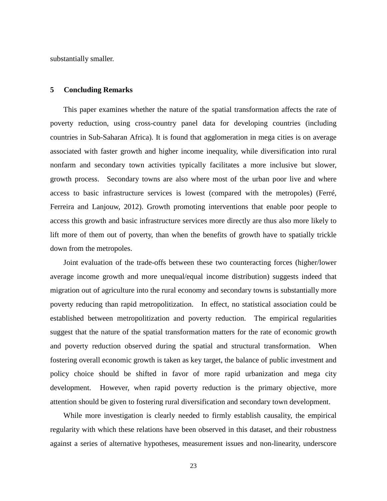substantially smaller.

#### **5 Concluding Remarks**

This paper examines whether the nature of the spatial transformation affects the rate of poverty reduction, using cross-country panel data for developing countries (including countries in Sub-Saharan Africa). It is found that agglomeration in mega cities is on average associated with faster growth and higher income inequality, while diversification into rural nonfarm and secondary town activities typically facilitates a more inclusive but slower, growth process. Secondary towns are also where most of the urban poor live and where access to basic infrastructure services is lowest (compared with the metropoles) (Ferré, Ferreira and Lanjouw, 2012). Growth promoting interventions that enable poor people to access this growth and basic infrastructure services more directly are thus also more likely to lift more of them out of poverty, than when the benefits of growth have to spatially trickle down from the metropoles.

Joint evaluation of the trade-offs between these two counteracting forces (higher/lower average income growth and more unequal/equal income distribution) suggests indeed that migration out of agriculture into the rural economy and secondary towns is substantially more poverty reducing than rapid metropolitization. In effect, no statistical association could be established between metropolitization and poverty reduction. The empirical regularities suggest that the nature of the spatial transformation matters for the rate of economic growth and poverty reduction observed during the spatial and structural transformation. When fostering overall economic growth is taken as key target, the balance of public investment and policy choice should be shifted in favor of more rapid urbanization and mega city development. However, when rapid poverty reduction is the primary objective, more attention should be given to fostering rural diversification and secondary town development.

While more investigation is clearly needed to firmly establish causality, the empirical regularity with which these relations have been observed in this dataset, and their robustness against a series of alternative hypotheses, measurement issues and non-linearity, underscore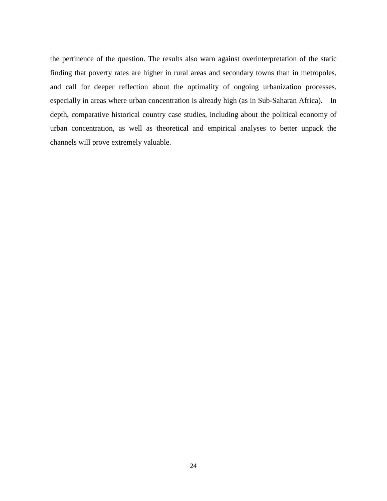the pertinence of the question. The results also warn against overinterpretation of the static finding that poverty rates are higher in rural areas and secondary towns than in metropoles, and call for deeper reflection about the optimality of ongoing urbanization processes, especially in areas where urban concentration is already high (as in Sub-Saharan Africa). In depth, comparative historical country case studies, including about the political economy of urban concentration, as well as theoretical and empirical analyses to better unpack the channels will prove extremely valuable.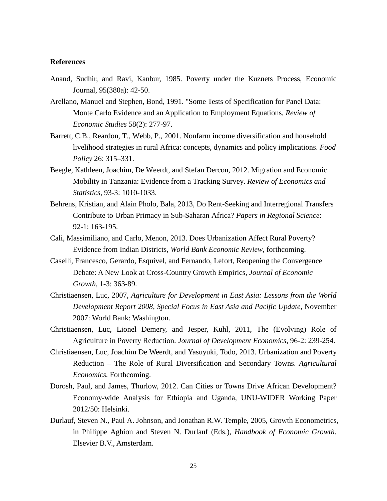#### **References**

- Anand, Sudhir, and Ravi, Kanbur, 1985. [Poverty under the Kuznets Process,](http://ideas.repec.org/a/ecj/econjl/v95y1985i380ap42-50.html) [Economic](http://ideas.repec.org/s/ecj/econjl.html)  [Journal,](http://ideas.repec.org/s/ecj/econjl.html) 95(380a): 42-50.
- Arellano, Manuel and Stephen, Bond, 1991. ["Some Tests of Specification for Panel Data:](http://ideas.repec.org/a/bla/restud/v58y1991i2p277-97.html)  [Monte Carlo Evidence and an Application to Employment Equations,](http://ideas.repec.org/a/bla/restud/v58y1991i2p277-97.html) *[Review of](http://ideas.repec.org/s/bla/restud.html)  [Economic Studies](http://ideas.repec.org/s/bla/restud.html)* 58(2): 277-97.
- Barrett, C.B., Reardon, T., Webb, P., 2001. Nonfarm income diversification and household livelihood strategies in rural Africa: concepts, dynamics and policy implications. *Food Policy* 26: 315–331.
- Beegle, Kathleen, Joachim, De Weerdt, and Stefan Dercon, 2012. Migration and Economic Mobility in Tanzania: Evidence from a Tracking Survey. *Review of Economics and Statistics*, 93-3: 1010-1033.
- Behrens, Kristian, and Alain Pholo, Bala, 2013, Do Rent-Seeking and Interregional Transfers Contribute to Urban Primacy in Sub-Saharan Africa? *Papers in Regional Science*: 92-1: 163-195.
- Cali, Massimiliano, and Carlo, Menon, 2013. Does Urbanization Affect Rural Poverty? Evidence from Indian Districts, *World Bank Economic Review*, forthcoming.
- Caselli, Francesco, Gerardo, Esquivel, and Fernando, Lefort, Reopening the Convergence Debate: A New Look at Cross-Country Growth Empirics, *Journal of Economic Growth*, 1-3: 363-89.
- Christiaensen, Luc, 2007, *Agriculture for Development in East Asia: Lessons from the World Development Report 2008, Special Focus in East Asia and Pacific Update*, November 2007: World Bank: Washington.
- Christiaensen, Luc, Lionel Demery, and Jesper, Kuhl, 2011, The (Evolving) Role of Agriculture in Poverty Reduction. *Journal of Development Economics*, 96-2: 239-254.
- Christiaensen, Luc, Joachim De Weerdt, and Yasuyuki, Todo, 2013. Urbanization and Poverty Reduction – The Role of Rural Diversification and Secondary Towns. *Agricultural Economics.* Forthcoming.
- Dorosh, Paul, and James, Thurlow, 2012. Can Cities or Towns Drive African Development? Economy-wide Analysis for Ethiopia and Uganda, UNU-WIDER Working Paper 2012/50: Helsinki.
- Durlauf, Steven N., Paul A. Johnson, and Jonathan R.W. Temple, 2005, Growth Econometrics, in Philippe Aghion and Steven N. Durlauf (Eds.), *Handbook of Economic Growth*. Elsevier B.V., Amsterdam.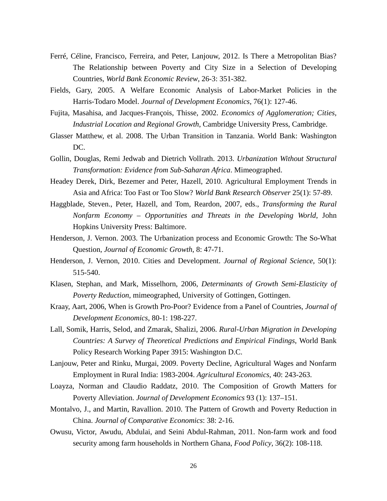- Ferré, Céline, Francisco, Ferreira, and Peter, Lanjouw, 2012. Is There a Metropolitan Bias? The Relationship between Poverty and City Size in a Selection of Developing Countries, *World Bank Economic Review*, 26-3: 351-382.
- Fields, Gary, 2005. A Welfare Economic Analysis of Labor-Market Policies in the Harris-Todaro Model. *Journal of Development Economics*, 76(1): 127-46.
- Fujita, Masahisa, and Jacques-François, Thisse, 2002. *Economics of Agglomeration; Cities, Industrial Location and Regional Growth*, Cambridge University Press, Cambridge.
- Glasser Matthew, et al. 2008. The Urban Transition in Tanzania. World Bank: Washington DC.
- Gollin, Douglas, Remi Jedwab and Dietrich Vollrath. 2013. *Urbanization Without Structural Transformation: Evidence from Sub-Saharan Africa*. Mimeographed.
- Headey Derek, Dirk, Bezemer and Peter, Hazell, 2010. [Agricultural Employment Trends in](http://ideas.repec.org/a/oup/wbrobs/v25y2010i1p57-89.html)  [Asia and Africa: Too Fast or Too Slow?](http://ideas.repec.org/a/oup/wbrobs/v25y2010i1p57-89.html) *[World Bank Research Observer](http://ideas.repec.org/s/oup/wbrobs.html)* 25(1): 57-89.
- Haggblade, Steven., Peter, Hazell, and Tom, Reardon, 2007, eds., *Transforming the Rural Nonfarm Economy – Opportunities and Threats in the Developing World*, John Hopkins University Press: Baltimore.
- Henderson, J. Vernon. 2003. The Urbanization process and Economic Growth: The So-What Question, *Journal of Economic Growth*, 8: 47-71.
- Henderson, J. Vernon, 2010. Cities and Development. *Journal of Regional Science*, 50(1): 515-540.
- Klasen, Stephan, and Mark, Misselhorn, 2006, *Determinants of Growth Semi-Elasticity of Poverty Reduction*, mimeographed, University of Gottingen, Gottingen.
- Kraay, Aart, 2006, When is Growth Pro-Poor? Evidence from a Panel of Countries, *Journal of Development Economics*, 80-1: 198-227.
- Lall, Somik, Harris, Selod, and Zmarak, Shalizi, 2006. *Rural-Urban Migration in Developing Countries: A Survey of Theoretical Predictions and Empirical Findings*, World Bank Policy Research Working Paper 3915: Washington D.C.
- Lanjouw, Peter and Rinku, Murgai, 2009. Poverty Decline, Agricultural Wages and Nonfarm Employment in Rural India: 1983-2004. *Agricultural Economics*, 40: 243-263.
- Loayza, Norman and Claudio Raddatz, 2010. The Composition of Growth Matters for Poverty Alleviation. *Journal of Development Economics* 93 (1): 137–151.
- Montalvo, J., and Martin, Ravallion. 2010. The Pattern of Growth and Poverty Reduction in China. *Journal of Comparative Economics*: 38: 2-16.
- Owusu, Victor, Awudu, Abdulai, and Seini Abdul-Rahman, 2011. Non-farm work and food security among farm households in Northern Ghana, *Food Policy*, 36(2): 108-118.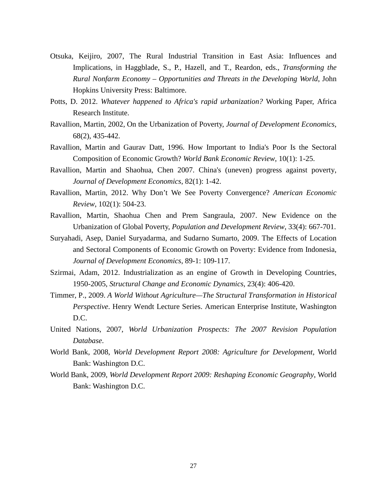- Otsuka, Keijiro, 2007, The Rural Industrial Transition in East Asia: Influences and Implications, in Haggblade, S., P., Hazell, and T., Reardon, eds., *Transforming the Rural Nonfarm Economy – Opportunities and Threats in the Developing World*, John Hopkins University Press: Baltimore.
- Potts, D. 2012. *Whatever happened to Africa's rapid urbanization?* Working Paper, Africa Research Institute.
- Ravallion, Martin, 2002, On the Urbanization of Poverty, *Journal of Development Economics*, 68(2), 435-442.
- Ravallion, Martin and Gaurav Datt, 1996. How Important to India's Poor Is the Sectoral Composition of Economic Growth? *World Bank Economic Review*, 10(1): 1-25.
- Ravallion, Martin and Shaohua, Chen 2007. [China's \(uneven\) progress against poverty,](http://ideas.repec.org/a/eee/deveco/v82y2007i1p1-42.html) *[Journal of Development Economics](http://ideas.repec.org/s/eee/deveco.html)*, 82(1): 1-42.
- Ravallion, Martin, 2012. Why Don't We See Poverty Convergence? *American Economic Review*, 102(1): 504-23.
- Ravallion, Martin, Shaohua Chen and Prem Sangraula, 2007. New Evidence on the Urbanization of Global Poverty, *Population and Development Review*, 33(4): 667-701.
- Suryahadi, Asep, Daniel Suryadarma, and Sudarno Sumarto, 2009. The Effects of Location and Sectoral Components of Economic Growth on Poverty: Evidence from Indonesia, *Journal of Development Economics*, 89-1: 109-117.
- Szirmai, Adam, 2012. Industrialization as an engine of Growth in Developing Countries, 1950-2005, *Structural Change and Economic Dynamics*, 23(4): 406-420.
- Timmer, P., 2009. *A World Without Agriculture—The Structural Transformation in Historical Perspective*. Henry Wendt Lecture Series. American Enterprise Institute, Washington D.C.
- United Nations, 2007, *World Urbanization Prospects: The 2007 Revision Population Database*.
- World Bank, 2008, *World Development Report 2008: Agriculture for Development*, World Bank: Washington D.C.
- World Bank, 2009, *World Development Report 2009: Reshaping Economic Geography*, World Bank: Washington D.C.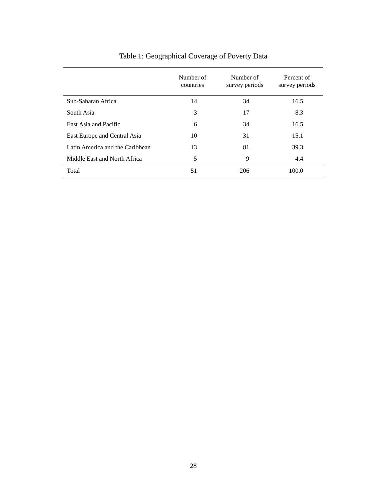|                                 | Number of<br>countries | Number of<br>survey periods | Percent of<br>survey periods |
|---------------------------------|------------------------|-----------------------------|------------------------------|
| Sub-Saharan Africa              | 14                     | 34                          | 16.5                         |
| South Asia                      | 3                      | 17                          | 8.3                          |
| East Asia and Pacific           | 6                      | 34                          | 16.5                         |
| East Europe and Central Asia    | 10                     | 31                          | 15.1                         |
| Latin America and the Caribbean | 13                     | 81                          | 39.3                         |
| Middle East and North Africa    | 5                      | 9                           | 4.4                          |
| Total                           | 51                     | 206                         | 100.0                        |

## Table 1: Geographical Coverage of Poverty Data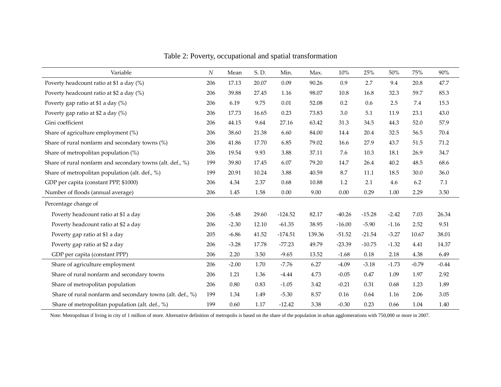| Variable                                                  | $\boldsymbol{N}$ | Mean    | S.D.  | Min.      | Max.   | 10%      | 25%      | 50%     | 75%     | 90%     |
|-----------------------------------------------------------|------------------|---------|-------|-----------|--------|----------|----------|---------|---------|---------|
| Poverty headcount ratio at \$1 a day (%)                  | 206              | 17.13   | 20.07 | 0.09      | 90.26  | 0.9      | 2.7      | 9.4     | 20.8    | 47.7    |
| Poverty headcount ratio at \$2 a day (%)                  | 206              | 39.88   | 27.45 | 1.16      | 98.07  | 10.8     | 16.8     | 32.3    | 59.7    | 85.3    |
| Poverty gap ratio at \$1 a day (%)                        | 206              | 6.19    | 9.75  | 0.01      | 52.08  | 0.2      | 0.6      | 2.5     | 7.4     | 15.3    |
| Poverty gap ratio at \$2 a day (%)                        | 206              | 17.73   | 16.65 | 0.23      | 73.83  | 3.0      | 5.1      | 11.9    | 23.1    | 43.0    |
| Gini coefficient                                          | 206              | 44.15   | 9.64  | 27.16     | 63.42  | 31.3     | 34.5     | 44.3    | 52.0    | 57.9    |
| Share of agriculture employment (%)                       | 206              | 38.60   | 21.38 | 6.60      | 84.00  | 14.4     | 20.4     | 32.5    | 56.5    | 70.4    |
| Share of rural nonfarm and secondary towns (%)            | 206              | 41.86   | 17.70 | 6.85      | 79.02  | 16.6     | 27.9     | 43.7    | 51.5    | 71.2    |
| Share of metropolitan population (%)                      | 206              | 19.54   | 9.93  | 3.88      | 37.11  | 7.6      | 10.3     | 18.1    | 26.9    | 34.7    |
| Share of rural nonfarm and secondary towns (alt. def., %) | 199              | 39.80   | 17.45 | 6.07      | 79.20  | 14.7     | 26.4     | 40.2    | 48.5    | 68.6    |
| Share of metropolitan population (alt. def., %)           | 199              | 20.91   | 10.24 | 3.88      | 40.59  | 8.7      | 11.1     | 18.5    | 30.0    | 36.0    |
| GDP per capita (constant PPP, \$1000)                     | 206              | 4.34    | 2.37  | 0.68      | 10.88  | 1.2      | 2.1      | 4.6     | 6.2     | 7.1     |
| Number of floods (annual average)                         | 206              | 1.45    | 1.58  | 0.00      | 9.00   | 0.00     | 0.29     | 1.00    | 2.29    | 3.50    |
| Percentage change of                                      |                  |         |       |           |        |          |          |         |         |         |
| Poverty headcount ratio at \$1 a day                      | 206              | $-5.48$ | 29.60 | $-124.52$ | 82.17  | $-40.26$ | $-15.28$ | $-2.42$ | 7.03    | 26.34   |
| Poverty headcount ratio at \$2 a day                      | 206              | $-2.30$ | 12.10 | $-61.35$  | 38.95  | $-16.00$ | $-5.90$  | $-1.16$ | 2.52    | 9.51    |
| Poverty gap ratio at \$1 a day                            | 205              | $-6.86$ | 41.52 | $-174.51$ | 139.36 | $-51.52$ | $-21.54$ | $-3.27$ | 10.67   | 38.01   |
| Poverty gap ratio at \$2 a day                            | 206              | $-3.28$ | 17.78 | $-77.23$  | 49.79  | $-23.39$ | $-10.75$ | $-1.32$ | 4.41    | 14.37   |
| GDP per capita (constant PPP)                             | 206              | 2.20    | 3.50  | $-9.65$   | 13.52  | $-1.68$  | 0.18     | 2.18    | 4.38    | 6.49    |
| Share of agriculture employment                           | 206              | $-2.00$ | 1.70  | $-7.76$   | 6.27   | $-4.09$  | $-3.18$  | $-1.73$ | $-0.79$ | $-0.44$ |
| Share of rural nonfarm and secondary towns                | 206              | 1.21    | 1.36  | $-4.44$   | 4.73   | $-0.05$  | 0.47     | 1.09    | 1.97    | 2.92    |
| Share of metropolitan population                          | 206              | 0.80    | 0.83  | $-1.05$   | 3.42   | $-0.21$  | 0.31     | 0.68    | 1.23    | 1.89    |
| Share of rural nonfarm and secondary towns (alt. def., %) | 199              | 1.34    | 1.49  | $-5.30$   | 8.57   | 0.16     | 0.64     | 1.16    | 2.06    | 3.05    |
| Share of metropolitan population (alt. def., %)           | 199              | 0.60    | 1.17  | $-12.42$  | 3.38   | $-0.30$  | 0.23     | 0.66    | 1.04    | 1.40    |

Table 2: Poverty, occupational and spatial transformation

Note: Metropolitan if living in city of 1 million of more. Alternative definition of metropolis is based on the share of the population in urban agglomerations with 750,000 or more in 2007.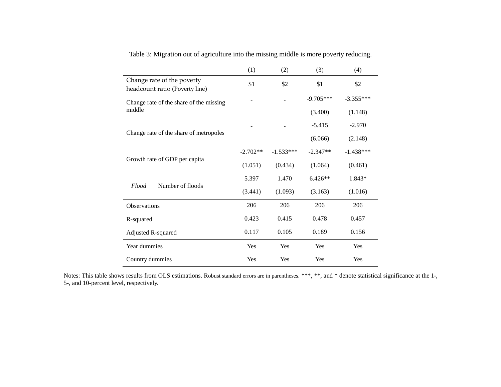|                                                              | (1)        | (2)         | (3)         | (4)         |
|--------------------------------------------------------------|------------|-------------|-------------|-------------|
| Change rate of the poverty<br>headcount ratio (Poverty line) | \$1        | \$2         | \$1         | \$2         |
| Change rate of the share of the missing                      |            |             | $-9.705***$ | $-3.355***$ |
| middle                                                       |            |             | (3.400)     | (1.148)     |
|                                                              |            |             | $-5.415$    | $-2.970$    |
| Change rate of the share of metropoles                       |            |             | (6.066)     | (2.148)     |
|                                                              | $-2.702**$ | $-1.533***$ | $-2.347**$  | $-1.438***$ |
| Growth rate of GDP per capita                                | (1.051)    | (0.434)     | (1.064)     | (0.461)     |
|                                                              | 5.397      | 1.470       | $6.426**$   | $1.843*$    |
| Number of floods<br>Flood                                    | (3.441)    | (1.093)     | (3.163)     | (1.016)     |
| <b>Observations</b>                                          | 206        | 206         | 206         | 206         |
| R-squared                                                    | 0.423      | 0.415       | 0.478       | 0.457       |
| Adjusted R-squared                                           | 0.117      | 0.105       |             | 0.156       |
| Year dummies                                                 | Yes        | Yes         | Yes         | Yes         |
| Country dummies                                              | Yes        | Yes         | <b>Yes</b>  | Yes         |

Table 3: Migration out of agriculture into the missing middle is more poverty reducing.

Notes: This table shows results from OLS estimations. Robust standard errors are in parentheses. \*\*\*, \*\*, and \* denote statistical significance at the 1-, 5-, and 10-percent level, respectively.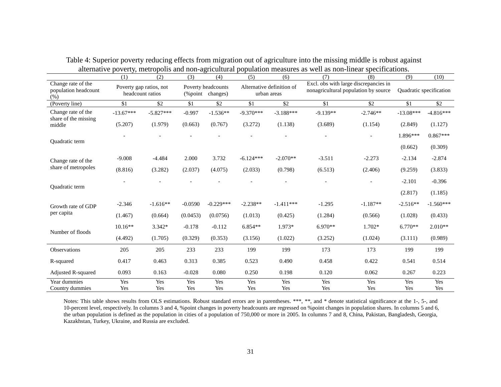|                                                    | (1)              | (2)                     | (3)        | (4)                                    | (5)         | (6)                                      | (7)                                                                           | (8)        | (9)         | (10)                    |
|----------------------------------------------------|------------------|-------------------------|------------|----------------------------------------|-------------|------------------------------------------|-------------------------------------------------------------------------------|------------|-------------|-------------------------|
| Change rate of the<br>population headcount<br>(% ) | headcount ratios | Poverty gap ratios, not |            | Poverty headcounts<br>(%point changes) |             | Alternative definition of<br>urban areas | Excl. obs with large discrepancies in<br>nonagricultural population by source |            |             | Quadratic specification |
| (Poverty line)                                     | \$1              | \$2                     | \$1        | \$2                                    | \$1         | \$2                                      | \$1                                                                           | \$2        | \$1         | \$2                     |
| Change rate of the<br>share of the missing         | $-13.67***$      | $-5.827***$             | $-0.997$   | $-1.536**$                             | $-9.370***$ | $-3.188***$                              | $-9.139**$                                                                    | $-2.746**$ | $-13.08***$ | $-4.816***$             |
| middle                                             | (5.207)          | (1.979)                 | (0.663)    | (0.767)                                | (3.272)     | (1.138)                                  | (3.689)                                                                       | (1.154)    | (2.849)     | (1.127)                 |
| Quadratic term                                     |                  |                         |            |                                        |             |                                          |                                                                               |            | 1.896***    | $0.867***$              |
|                                                    |                  |                         |            |                                        |             |                                          |                                                                               |            | (0.662)     | (0.309)                 |
| Change rate of the                                 | $-9.008$         | $-4.484$                | 2.000      | 3.732                                  | $-6.124***$ | $-2.070**$                               | $-3.511$                                                                      | $-2.273$   | $-2.134$    | $-2.874$                |
| share of metropoles                                | (8.816)          | (3.282)                 | (2.037)    | (4.075)                                | (2.033)     | (0.798)                                  | (6.513)                                                                       | (2.406)    | (9.259)     | (3.833)                 |
| Quadratic term                                     |                  |                         |            |                                        |             |                                          |                                                                               |            | $-2.101$    | $-0.396$                |
|                                                    |                  |                         |            |                                        |             |                                          |                                                                               |            | (2.817)     | (1.185)                 |
| Growth rate of GDP                                 | $-2.346$         | $-1.616**$              | $-0.0590$  | $-0.229***$                            | $-2.238**$  | $-1.411***$                              | $-1.295$                                                                      | $-1.187**$ | $-2.516**$  | $-1.560***$             |
| per capita                                         | (1.467)          | (0.664)                 | (0.0453)   | (0.0756)                               | (1.013)     | (0.425)                                  | (1.284)                                                                       | (0.566)    | (1.028)     | (0.433)                 |
| Number of floods                                   | $10.16**$        | $3.342*$                | $-0.178$   | $-0.112$                               | $6.854**$   | 1.973*                                   | $6.970**$                                                                     | 1.702*     | $6.770**$   | $2.010**$               |
|                                                    | (4.492)          | (1.705)                 | (0.329)    | (0.353)                                | (3.156)     | (1.022)                                  | (3.252)                                                                       | (1.024)    | (3.111)     | (0.989)                 |
| <b>Observations</b>                                | 205              | 205                     | 233        | 233                                    | 199         | 199                                      | 173                                                                           | 173        | 199         | 199                     |
| R-squared                                          | 0.417            | 0.463                   | 0.313      | 0.385                                  | 0.523       | 0.490                                    | 0.458                                                                         | 0.422      | 0.541       | 0.514                   |
| Adjusted R-squared                                 | 0.093            | 0.163                   | $-0.028$   | 0.080                                  | 0.250       | 0.198                                    | 0.120                                                                         | 0.062      | 0.267       | 0.223                   |
| Year dummies<br>Country dummies                    | Yes<br>Yes       | Yes<br>Yes              | Yes<br>Yes | Yes<br>Yes                             | Yes<br>Yes  | Yes<br>Yes                               | Yes<br>Yes                                                                    | Yes<br>Yes | Yes<br>Yes  | Yes<br>Yes              |

Table 4: Superior poverty reducing effects from migration out of agriculture into the missing middle is robust against alternative poverty, metropolis and non-agricultural population measures as well as non-linear specifications.

Notes: This table shows results from OLS estimations. Robust standard errors are in parentheses. \*\*\*, \*\*, and \* denote statistical significance at the 1-, 5-, and 10-percent level, respectively. In columns 3 and 4, %point changes in poverty headcounts are regressed on %point changes in population shares. In columns 5 and 6, the urban population is defined as the population in cities of a population of 750,000 or more in 2005. In columns 7 and 8, China, Pakistan, Bangladesh, Georgia, Kazakhstan, Turkey, Ukraine, and Russia are excluded.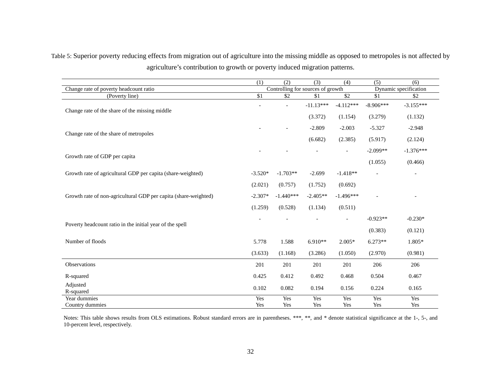|                                                                 | (1)       | (2)                               | (3)         | (4)                   | (5)         | (6)         |
|-----------------------------------------------------------------|-----------|-----------------------------------|-------------|-----------------------|-------------|-------------|
| Change rate of poverty headcount ratio                          |           | Controlling for sources of growth |             | Dynamic specification |             |             |
| (Poverty line)                                                  | \$1       | $\$2$                             | \$1         | $\$2$                 | \$1         | \$2         |
| Change rate of the share of the missing middle                  |           |                                   | $-11.13***$ | $-4.112***$           | $-8.906***$ | $-3.155***$ |
|                                                                 |           |                                   | (3.372)     | (1.154)               | (3.279)     | (1.132)     |
| Change rate of the share of metropoles                          |           | $\sim$                            | $-2.809$    | $-2.003$              | $-5.327$    | $-2.948$    |
|                                                                 |           |                                   | (6.682)     | (2.385)               | (5.917)     | (2.124)     |
| Growth rate of GDP per capita                                   |           |                                   |             |                       | $-2.099**$  | $-1.376***$ |
|                                                                 |           |                                   |             |                       | (1.055)     | (0.466)     |
| Growth rate of agricultural GDP per capita (share-weighted)     | $-3.520*$ | $-1.703**$                        | $-2.699$    | $-1.418**$            |             |             |
|                                                                 | (2.021)   | (0.757)                           | (1.752)     | (0.692)               |             |             |
| Growth rate of non-agricultural GDP per capita (share-weighted) | $-2.307*$ | $-1.440***$                       | $-2.405**$  | $-1.496***$           |             |             |
|                                                                 | (1.259)   | (0.528)                           | (1.134)     | (0.511)               |             |             |
| Poverty headcount ratio in the initial year of the spell        |           |                                   |             |                       | $-0.923**$  | $-0.230*$   |
|                                                                 |           |                                   |             |                       | (0.383)     | (0.121)     |
| Number of floods                                                | 5.778     | 1.588                             | 6.910**     | $2.005*$              | $6.273**$   | 1.805*      |
|                                                                 | (3.633)   | (1.168)                           | (3.286)     | (1.050)               | (2.970)     | (0.981)     |
| Observations                                                    | 201       | 201                               | 201         | 201                   | 206         | 206         |
| R-squared                                                       | 0.425     | 0.412                             | 0.492       | 0.468                 | 0.504       | 0.467       |
| Adjusted<br>R-squared                                           | 0.102     | 0.082                             | 0.194       | 0.156                 | 0.224       | 0.165       |
| Year dummies                                                    | Yes       | Yes                               | Yes         | Yes                   | Yes         | Yes         |
| Country dummies                                                 | Yes       | Yes                               | Yes         | Yes                   | Yes         | Yes         |

Table 5: Superior poverty reducing effects from migration out of agriculture into the missing middle as opposed to metropoles is not affected by agriculture's contribution to growth or poverty induced migration patterns.

Notes: This table shows results from OLS estimations. Robust standard errors are in parentheses. \*\*\*, \*\*, and \* denote statistical significance at the 1-, 5-, and 10-percent level, respectively.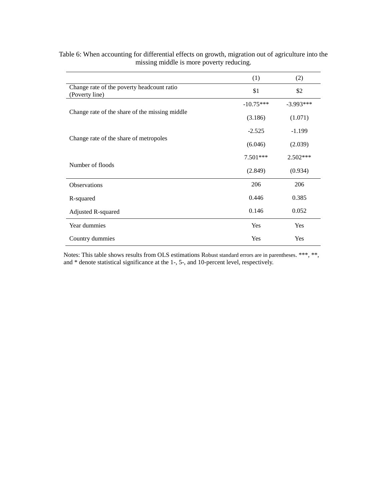|                                                              | (1)         | (2)         |
|--------------------------------------------------------------|-------------|-------------|
| Change rate of the poverty headcount ratio<br>(Poverty line) | \$1         | \$2         |
|                                                              | $-10.75***$ | $-3.993***$ |
| Change rate of the share of the missing middle               | (3.186)     | (1.071)     |
|                                                              | $-2.525$    | $-1.199$    |
| Change rate of the share of metropoles                       | (6.046)     | (2.039)     |
|                                                              | 7.501***    | $2.502***$  |
| Number of floods                                             | (2.849)     | (0.934)     |
| Observations                                                 | 206         | 206         |
| R-squared                                                    | 0.446       | 0.385       |
| Adjusted R-squared                                           | 0.146       | 0.052       |
| Year dummies                                                 | Yes         | Yes         |
| Country dummies                                              | Yes         | Yes         |

Table 6: When accounting for differential effects on growth, migration out of agriculture into the missing middle is more poverty reducing.

Notes: This table shows results from OLS estimations Robust standard errors are in parentheses. \*\*\*, \*\*, and \* denote statistical significance at the 1-, 5-, and 10-percent level, respectively.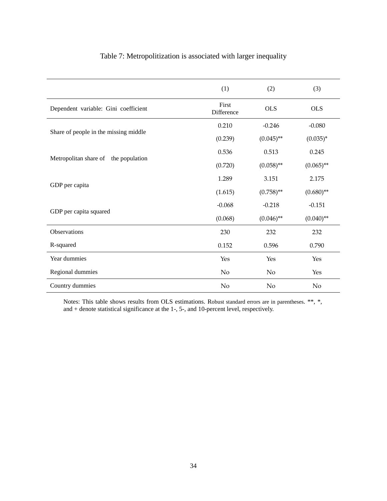|                                       | (1)                 | (2)          | (3)            |  |
|---------------------------------------|---------------------|--------------|----------------|--|
| Dependent variable: Gini coefficient  | First<br>Difference | <b>OLS</b>   | <b>OLS</b>     |  |
|                                       | 0.210               | $-0.246$     | $-0.080$       |  |
| Share of people in the missing middle | (0.239)             | $(0.045)$ ** | $(0.035)^*$    |  |
|                                       | 0.536               | 0.513        | 0.245          |  |
| Metropolitan share of the population  | (0.720)             | $(0.058)$ ** | $(0.065)$ **   |  |
|                                       | 1.289               | 3.151        | 2.175          |  |
| GDP per capita                        | (1.615)             | $(0.758)$ ** | $(0.680)$ **   |  |
|                                       | $-0.068$            | $-0.218$     | $-0.151$       |  |
| GDP per capita squared                | (0.068)             | $(0.046)$ ** | $(0.040)$ **   |  |
| Observations                          | 230                 | 232          | 232            |  |
| R-squared                             | 0.152               | 0.596        | 0.790          |  |
| Year dummies                          | Yes                 | Yes          | Yes            |  |
| Regional dummies                      | $\rm No$            | $\rm No$     | Yes            |  |
| Country dummies                       | No                  | No           | N <sub>o</sub> |  |

### Table 7: Metropolitization is associated with larger inequality

Notes: This table shows results from OLS estimations. Robust standard errors are in parentheses. \*\*, \*, and + denote statistical significance at the 1-, 5-, and 10-percent level, respectively.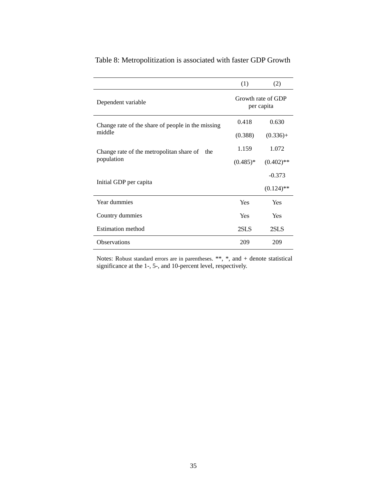|                                                   | (1)        | (2)                              |
|---------------------------------------------------|------------|----------------------------------|
| Dependent variable                                |            | Growth rate of GDP<br>per capita |
| Change rate of the share of people in the missing | 0.418      | 0.630                            |
| middle                                            | (0.388)    | $(0.336) +$                      |
| Change rate of the metropolitan share of<br>the   | 1.159      | 1.072                            |
| population                                        | $(0.485)*$ | $(0.402)$ **                     |
|                                                   |            | $-0.373$                         |
| Initial GDP per capita                            |            | $(0.124)$ **                     |
| Year dummies                                      | Yes        | Yes                              |
| Country dummies                                   | Yes        | Yes                              |
| Estimation method                                 | 2SLS       | 2SLS                             |
| <b>Observations</b>                               | 209        | 209                              |

Table 8: Metropolitization is associated with faster GDP Growth

Notes: Robust standard errors are in parentheses. \*\*, \*, and + denote statistical significance at the 1-, 5-, and 10-percent level, respectively.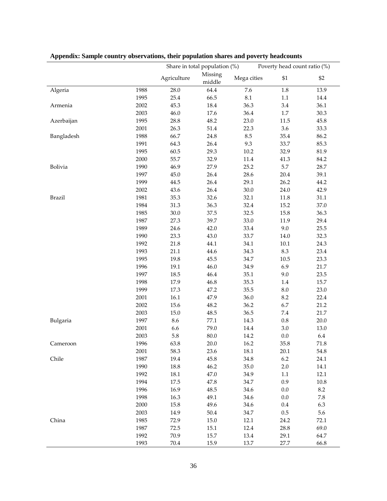|               |      | Share in total population (%) |                   | Poverty head count ratio (%) |             |          |
|---------------|------|-------------------------------|-------------------|------------------------------|-------------|----------|
|               |      | Agriculture                   | Missing<br>middle | Mega cities                  | \$1         | \$2      |
| Algeria       | 1988 | 28.0                          | 64.4              | 7.6                          | $1.8\,$     | 13.9     |
|               | 1995 | 25.4                          | 66.5              | $8.1\,$                      | $1.1\,$     | 14.4     |
| Armenia       | 2002 | 45.3                          | 18.4              | 36.3                         | 3.4         | 36.1     |
|               | 2003 | 46.0                          | 17.6              | 36.4                         | $1.7\,$     | 30.3     |
| Azerbaijan    | 1995 | 28.8                          | 48.2              | 23.0                         | 11.5        | 45.8     |
|               | 2001 | 26.3                          | $51.4\,$          | 22.3                         | 3.6         | 33.3     |
| Bangladesh    | 1988 | 66.7                          | 24.8              | $\ \, 8.5$                   | 35.4        | 86.2     |
|               | 1991 | 64.3                          | 26.4              | 9.3                          | 33.7        | 85.3     |
|               | 1995 | 60.5                          | 29.3              | $10.2\,$                     | 32.9        | 81.9     |
|               | 2000 | 55.7                          | 32.9              | $11.4\,$                     | 41.3        | 84.2     |
| Bolivia       | 1990 | 46.9                          | 27.9              | 25.2                         | 5.7         | 28.7     |
|               | 1997 | 45.0                          | 26.4              | 28.6                         | 20.4        | 39.1     |
|               | 1999 | 44.5                          | 26.4              | 29.1                         | 26.2        | 44.2     |
|               | 2002 | 43.6                          | 26.4              | 30.0                         | 24.0        | 42.9     |
| <b>Brazil</b> | 1981 | 35.3                          | 32.6              | 32.1                         | 11.8        | 31.1     |
|               | 1984 | 31.3                          | 36.3              | 32.4                         | 15.2        | 37.0     |
|               | 1985 | $30.0\,$                      | 37.5              | 32.5                         | 15.8        | 36.3     |
|               | 1987 | 27.3                          | 39.7              | 33.0                         | 11.9        | 29.4     |
|               | 1989 | 24.6                          | 42.0              | 33.4                         | 9.0         | 25.5     |
|               | 1990 | 23.3                          | 43.0              | 33.7                         | 14.0        | 32.3     |
|               | 1992 | 21.8                          | 44.1              | 34.1                         | $10.1\,$    | 24.3     |
|               | 1993 | 21.1                          | 44.6              | 34.3                         | 8.3         | 23.4     |
|               | 1995 | 19.8                          | 45.5              | 34.7                         | $10.5\,$    | 23.3     |
|               | 1996 | 19.1                          | 46.0              | 34.9                         | 6.9         | 21.7     |
|               | 1997 | 18.5                          | 46.4              | 35.1                         | 9.0         | 23.5     |
|               | 1998 | 17.9                          | 46.8              | 35.3                         | $1.4\,$     | 15.7     |
|               | 1999 | 17.3                          | 47.2              | 35.5                         | $\!\!8.0\!$ | 23.0     |
|               | 2001 | 16.1                          | 47.9              | 36.0                         | 8.2         | 22.4     |
|               | 2002 | 15.6                          | 48.2              | 36.2                         | 6.7         | 21.2     |
|               | 2003 | 15.0                          | 48.5              | 36.5                         | 7.4         | 21.7     |
| Bulgaria      | 1997 | 8.6                           | 77.1              | 14.3                         | $\rm 0.8$   | 20.0     |
|               | 2001 | 6.6                           | 79.0              | 14.4                         | $3.0\,$     | 13.0     |
|               | 2003 | 5.8                           | 80.0              | 14.2                         | 0.0         | 6.4      |
| Cameroon      | 1996 | 63.8                          | $20.0\,$          | 16.2                         | 35.8        | $71.8\,$ |
|               | 2001 | 58.3                          | 23.6              | 18.1                         | 20.1        | 54.8     |
| Chile         | 1987 | 19.4                          | 45.8              | 34.8                         | $6.2\,$     | 24.1     |
|               | 1990 | 18.8                          | 46.2              | 35.0                         | $2.0\,$     | 14.1     |
|               | 1992 | 18.1                          | 47.0              | 34.9                         | 1.1         | 12.1     |
|               | 1994 | 17.5                          | 47.8              | 34.7                         | 0.9         | 10.8     |
|               | 1996 | 16.9                          | 48.5              | 34.6                         | $0.0\,$     | $8.2\,$  |
|               | 1998 | 16.3                          | 49.1              | 34.6                         | $0.0\,$     | 7.8      |
|               | 2000 | 15.8                          | 49.6              | 34.6                         | $0.4\,$     | 6.3      |
|               | 2003 | 14.9                          | $50.4\,$          | 34.7                         | $0.5\,$     | 5.6      |
| China         | 1985 | 72.9                          | $15.0\,$          | 12.1                         | 24.2        | 72.1     |
|               | 1987 | 72.5                          | 15.1              | 12.4                         | 28.8        | 69.0     |
|               | 1992 | 70.9                          | 15.7              | 13.4                         | 29.1        | 64.7     |
|               | 1993 | 70.4                          | 15.9              | 13.7                         | 27.7        | 66.8     |

**Appendix: Sample country observations, their population shares and poverty headcounts**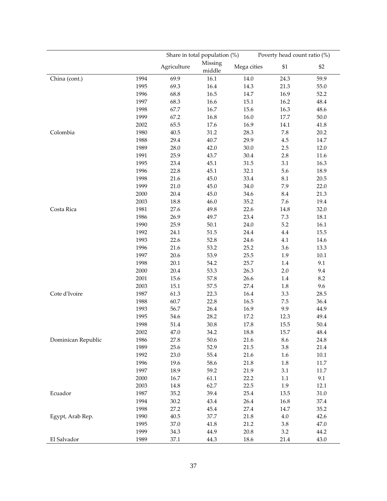|                            | Share in total population (%) |          | Poverty head count ratio (%) |         |          |
|----------------------------|-------------------------------|----------|------------------------------|---------|----------|
|                            | Agriculture                   | Missing  | Mega cities                  | \$1     | \$2      |
|                            |                               | middle   |                              |         |          |
| China (cont.)<br>1994      | 69.9                          | 16.1     | 14.0                         | 24.3    | 59.9     |
| 1995                       | 69.3                          | 16.4     | 14.3                         | 21.3    | 55.0     |
| 1996                       | 68.8                          | 16.5     | 14.7                         | 16.9    | 52.2     |
| 1997                       | 68.3                          | 16.6     | $15.1\,$                     | 16.2    | 48.4     |
| 1998                       | 67.7                          | 16.7     | 15.6                         | 16.3    | 48.6     |
| 1999                       | 67.2                          | 16.8     | 16.0                         | 17.7    | $50.0\,$ |
| 2002                       | 65.5                          | 17.6     | 16.9                         | 14.1    | 41.8     |
| Colombia<br>1980           | 40.5                          | 31.2     | 28.3                         | $7.8\,$ | 20.2     |
| 1988                       | 29.4                          | 40.7     | 29.9                         | $4.5\,$ | 14.7     |
| 1989                       | 28.0                          | 42.0     | $30.0\,$                     | 2.5     | 12.0     |
| 1991                       | 25.9                          | 43.7     | 30.4                         | 2.8     | 11.6     |
| 1995                       | 23.4                          | 45.1     | 31.5                         | 3.1     | 16.3     |
| 1996                       | 22.8                          | 45.1     | 32.1                         | 5.6     | 18.9     |
| 1998                       | 21.6                          | 45.0     | 33.4                         | $8.1\,$ | $20.5\,$ |
| 1999                       | 21.0                          | 45.0     | 34.0                         | 7.9     | 22.0     |
| 2000                       | 20.4                          | 45.0     | 34.6                         | 8.4     | 21.3     |
| 2003                       | 18.8                          | 46.0     | 35.2                         | 7.6     | 19.4     |
| Costa Rica<br>1981         | 27.6                          | 49.8     | 22.6                         | 14.8    | 32.0     |
| 1986                       | 26.9                          | 49.7     | 23.4                         | 7.3     | 18.1     |
| 1990                       | 25.9                          | $50.1\,$ | 24.0                         | 5.2     | 16.1     |
| 1992                       | 24.1                          | 51.5     | 24.4                         | $4.4\,$ | 15.5     |
| 1993                       | 22.6                          | 52.8     | 24.6                         | 4.1     | 14.6     |
| 1996                       | 21.6                          | 53.2     | 25.2                         | 3.6     | 13.3     |
| 1997                       | 20.6                          | 53.9     | 25.5                         | 1.9     | $10.1\,$ |
| 1998                       | 20.1                          | 54.2     | 25.7                         | $1.4\,$ | 9.1      |
| 2000                       | 20.4                          | 53.3     | 26.3                         | $2.0\,$ | 9.4      |
| 2001                       | 15.6                          | 57.8     | 26.6                         | $1.4\,$ | 8.2      |
| 2003                       | 15.1                          | 57.5     | 27.4                         | 1.8     | 9.6      |
| Cote d'Ivoire<br>1987      | 61.3                          | 22.3     | 16.4                         | 3.3     | 28.5     |
| 1988                       | 60.7                          | 22.8     | 16.5                         | 7.5     | 36.4     |
| 1993                       | 56.7                          | 26.4     | 16.9                         | 9.9     | 44.9     |
| 1995                       | 54.6                          | 28.2     | 17.2                         | 12.3    | 49.4     |
| 1998                       | 51.4                          | 30.8     | 17.8                         | 15.5    | 50.4     |
| 2002                       | 47.0                          | 34.2     | 18.8                         | 15.7    | 48.4     |
| Dominican Republic<br>1986 | 27.8                          | 50.6     | 21.6                         | 8.6     | 24.8     |
| 1989                       | 25.6                          | 52.9     | 21.5                         | 3.8     | 21.4     |
| 1992                       | 23.0                          | 55.4     | 21.6                         | 1.6     | $10.1\,$ |
| 1996                       | 19.6                          | 58.6     | 21.8                         | 1.8     | $11.7\,$ |
| 1997                       | 18.9                          | 59.2     | 21.9                         | 3.1     | $11.7\,$ |
| 2000                       | 16.7                          | 61.1     | 22.2                         | 1.1     | 9.1      |
| 2003                       | 14.8                          | 62.7     | 22.5                         | 1.9     | 12.1     |
| Ecuador<br>1987            | 35.2                          | 39.4     | 25.4                         | 13.5    | $31.0\,$ |
| 1994                       | 30.2                          | 43.4     | 26.4                         | 16.8    | 37.4     |
| 1998                       | 27.2                          | 45.4     | 27.4                         | 14.7    | 35.2     |
| Egypt, Arab Rep.<br>1990   | $40.5\,$                      | 37.7     | 21.8                         | 4.0     | 42.6     |
| 1995                       | 37.0                          | 41.8     | 21.2                         | $3.8\,$ | 47.0     |
| 1999                       | 34.3                          | 44.9     | 20.8                         | $3.2\,$ | 44.2     |
| El Salvador<br>1989        | 37.1                          | 44.3     | 18.6                         | 21.4    | 43.0     |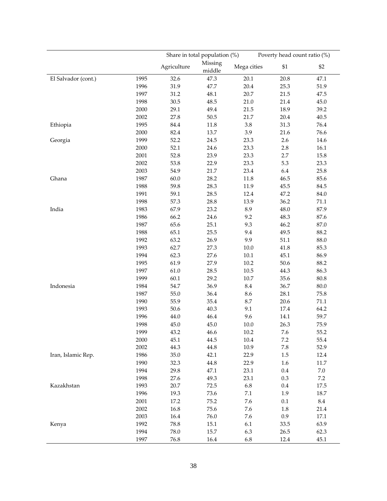|                     |              |                        | Share in total population (%) |                      | Poverty head count ratio (%) |              |  |  |
|---------------------|--------------|------------------------|-------------------------------|----------------------|------------------------------|--------------|--|--|
|                     |              | Missing<br>Agriculture |                               | Mega cities          | \$1                          | \$2          |  |  |
|                     |              |                        | middle                        |                      |                              |              |  |  |
| El Salvador (cont.) | 1995         | 32.6                   | 47.3                          | 20.1                 | 20.8                         | 47.1         |  |  |
|                     | 1996         | 31.9                   | 47.7                          | 20.4                 | 25.3                         | 51.9         |  |  |
|                     | 1997         | 31.2                   | 48.1                          | 20.7                 | 21.5                         | 47.5         |  |  |
|                     | 1998         | $30.5\,$               | 48.5                          | 21.0                 | 21.4                         | 45.0         |  |  |
|                     | 2000         | 29.1                   | 49.4                          | 21.5                 | 18.9                         | 39.2         |  |  |
|                     | 2002         | 27.8                   | $50.5\,$                      | 21.7                 | 20.4                         | 40.5         |  |  |
| Ethiopia            | 1995         | 84.4                   | 11.8                          | $3.8\,$              | 31.3                         | 76.4         |  |  |
|                     | 2000         | 82.4                   | 13.7                          | 3.9                  | 21.6                         | 76.6         |  |  |
| Georgia             | 1999         | 52.2                   | 24.5                          | 23.3                 | 2.6                          | 14.6         |  |  |
|                     | 2000         | 52.1                   | 24.6                          | 23.3                 | 2.8                          | 16.1         |  |  |
|                     | 2001         | 52.8                   | 23.9                          | 23.3                 | 2.7                          | 15.8         |  |  |
|                     | 2002         | 53.8                   | 22.9                          | 23.3                 | 5.3                          | 23.3         |  |  |
|                     | 2003         | 54.9                   | 21.7                          | 23.4                 | 6.4                          | 25.8         |  |  |
| Ghana               | 1987         | 60.0                   | 28.2                          | 11.8                 | 46.5                         | 85.6         |  |  |
|                     | 1988         | 59.8                   | 28.3                          | 11.9                 | 45.5                         | 84.5         |  |  |
|                     | 1991         | 59.1                   | 28.5                          | 12.4                 | 47.2                         | 84.0         |  |  |
|                     | 1998         | 57.3                   | 28.8                          | 13.9                 | 36.2                         | 71.1         |  |  |
| India               | 1983         | 67.9                   | 23.2                          | 8.9                  | 48.0                         | 87.9         |  |  |
|                     | 1986         | 66.2                   | 24.6                          | 9.2                  | 48.3                         | 87.6         |  |  |
|                     | 1987         | 65.6                   | 25.1                          | 9.3                  | 46.2                         | 87.0         |  |  |
|                     | 1988         | 65.1                   | 25.5                          | 9.4                  | 49.5                         | 88.2         |  |  |
|                     | 1992         | 63.2                   | 26.9                          | 9.9                  | 51.1                         | 88.0         |  |  |
|                     | 1993         | 62.7                   | 27.3                          | $10.0\,$             | 41.8                         | 85.3         |  |  |
|                     | 1994         | 62.3                   | 27.6                          | $10.1\,$             | 45.1                         | 86.9         |  |  |
|                     | 1995<br>1997 | 61.9<br>61.0           | 27.9<br>28.5                  | $10.2\,$<br>$10.5\,$ | 50.6                         | 88.2<br>86.3 |  |  |
|                     | 1999         | $60.1\,$               | 29.2                          | 10.7                 | 44.3<br>35.6                 | 80.8         |  |  |
| Indonesia           | 1984         | 54.7                   | 36.9                          | $\ \, 8.4$           | 36.7                         | $80.0\,$     |  |  |
|                     | 1987         | 55.0                   | 36.4                          | 8.6                  | 28.1                         | 75.8         |  |  |
|                     | 1990         | 55.9                   | 35.4                          | 8.7                  | 20.6                         | 71.1         |  |  |
|                     | 1993         | $50.6\,$               | 40.3                          | 9.1                  | 17.4                         | 64.2         |  |  |
|                     | 1996         | 44.0                   | 46.4                          | 9.6                  | 14.1                         | 59.7         |  |  |
|                     | 1998         | 45.0                   | 45.0                          | 10.0                 | 26.3                         | 75.9         |  |  |
|                     | 1999         | 43.2                   | 46.6                          | $10.2\,$             | 7.6                          | 55.2         |  |  |
|                     | 2000         | 45.1                   | 44.5                          | 10.4                 | 7.2                          | 55.4         |  |  |
|                     | 2002         | 44.3                   | 44.8                          | 10.9                 | 7.8                          | 52.9         |  |  |
| Iran, Islamic Rep.  | 1986         | 35.0                   | 42.1                          | 22.9                 | 1.5                          | 12.4         |  |  |
|                     | 1990         | 32.3                   | 44.8                          | 22.9                 | 1.6                          | $11.7\,$     |  |  |
|                     | 1994         | 29.8                   | 47.1                          | 23.1                 | $0.4\,$                      | $7.0\,$      |  |  |
|                     | 1998         | 27.6                   | 49.3                          | 23.1                 | $0.3\,$                      | $7.2\,$      |  |  |
| Kazakhstan          | 1993         | 20.7                   | 72.5                          | 6.8                  | $0.4\,$                      | 17.5         |  |  |
|                     | 1996         | 19.3                   | 73.6                          | 7.1                  | 1.9                          | 18.7         |  |  |
|                     | 2001         | 17.2                   | 75.2                          | 7.6                  | $0.1\,$                      | $\!\!8.4$    |  |  |
|                     | 2002         | 16.8                   | 75.6                          | 7.6                  | 1.8                          | 21.4         |  |  |
|                     | 2003         | 16.4                   | 76.0                          | 7.6                  | 0.9                          | 17.1         |  |  |
| Kenya               | 1992         | $78.8\,$               | $15.1\,$                      | 6.1                  | 33.5                         | 63.9         |  |  |
|                     | 1994         | $78.0\,$               | 15.7                          | 6.3                  | 26.5                         | 62.3         |  |  |
|                     | 1997         | 76.8                   | 16.4                          | 6.8                  | 12.4                         | 45.1         |  |  |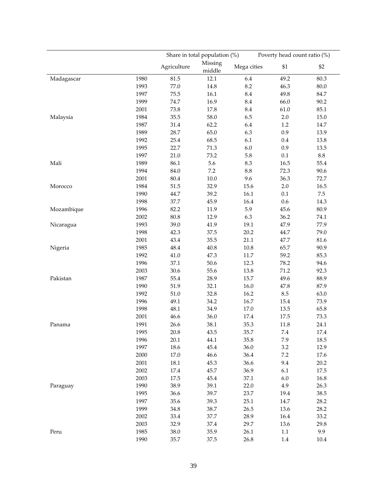|            |      | Share in total population (%) |                   | Poverty head count ratio (%) |             |                 |
|------------|------|-------------------------------|-------------------|------------------------------|-------------|-----------------|
|            |      | Agriculture                   | Missing<br>middle | Mega cities                  | \$1         | \$2             |
| Madagascar | 1980 | 81.5                          | 12.1              | 6.4                          | 49.2        | 80.3            |
|            | 1993 | 77.0                          | 14.8              | 8.2                          | 46.3        | $80.0\,$        |
|            | 1997 | 75.5                          | 16.1              | 8.4                          | 49.8        | 84.7            |
|            | 1999 | 74.7                          | 16.9              | 8.4                          | 66.0        | 90.2            |
|            | 2001 | 73.8                          | 17.8              | 8.4                          | 61.0        | 85.1            |
| Malaysia   | 1984 | 35.5                          | 58.0              | 6.5                          | $2.0\,$     | $15.0\,$        |
|            | 1987 | $31.4\,$                      | 62.2              | 6.4                          | $1.2\,$     | 14.7            |
|            | 1989 | 28.7                          | 65.0              | 6.3                          | 0.9         | 13.9            |
|            | 1992 | 25.4                          | 68.5              | 6.1                          | $0.4\,$     | 13.8            |
|            | 1995 | 22.7                          | 71.3              | $6.0\,$                      | 0.9         | 13.5            |
|            | 1997 | 21.0                          | 73.2              | 5.8                          | $0.1\,$     | $\!\!\!\!\!8.8$ |
| Mali       | 1989 | 86.1                          | 5.6               | 8.3                          | 16.5        | 55.4            |
|            | 1994 | 84.0                          | 7.2               | $\!\!\!\!\!8.8$              | 72.3        | 90.6            |
|            | 2001 | 80.4                          | $10.0\,$          | 9.6                          | 36.3        | 72.7            |
| Morocco    | 1984 | 51.5                          | 32.9              | 15.6                         | $2.0\,$     | 16.5            |
|            | 1990 | 44.7                          | 39.2              | 16.1                         | $0.1\,$     | $7.5\,$         |
|            | 1998 | 37.7                          | 45.9              | 16.4                         | 0.6         | 14.3            |
| Mozambique | 1996 | 82.2                          | 11.9              | 5.9                          | 45.6        | 80.9            |
|            | 2002 | 80.8                          | 12.9              | 6.3                          | 36.2        | 74.1            |
| Nicaragua  | 1993 | 39.0                          | 41.9              | 19.1                         | 47.9        | 77.9            |
|            | 1998 | 42.3                          | 37.5              | 20.2                         | 44.7        | 79.0            |
|            | 2001 | 43.4                          | 35.5              | 21.1                         | 47.7        | 81.6            |
| Nigeria    | 1985 | 48.4                          | 40.8              | $10.8\,$                     | 65.7        | 90.9            |
|            | 1992 | 41.0                          | 47.3              | 11.7                         | 59.2        | 85.3            |
|            | 1996 | 37.1                          | 50.6              | 12.3                         | 78.2        | 94.6            |
|            | 2003 | 30.6                          | 55.6              | 13.8                         | 71.2        | 92.3            |
| Pakistan   | 1987 | 55.4                          | 28.9              | 15.7                         | 49.6        | 88.9            |
|            | 1990 | 51.9                          | 32.1              | 16.0                         | 47.8        | 87.9            |
|            | 1992 | 51.0                          | 32.8              | 16.2                         | $\!\!8.5\!$ | 63.0            |
|            | 1996 | 49.1                          | 34.2              | 16.7                         | 15.4        | 73.9            |
|            | 1998 | 48.1                          | 34.9              | 17.0                         | 13.5        | 65.8            |
|            | 2001 | 46.6                          | 36.0              | 17.4                         | 17.5        | 73.3            |
| Panama     | 1991 | 26.6                          | 38.1              | 35.3                         | 11.8        | 24.1            |
|            | 1995 | 20.8                          | 43.5              | 35.7                         | $7.4\,$     | 17.4            |
|            | 1996 | 20.1                          | 44.1              | 35.8                         | 7.9         | 18.5            |
|            | 1997 | 18.6                          | 45.4              | 36.0                         | 3.2         | 12.9            |
|            | 2000 | $17.0\,$                      | 46.6              | 36.4                         | 7.2         | 17.6            |
|            | 2001 | 18.1                          | 45.3              | 36.6                         | 9.4         | 20.2            |
|            | 2002 | 17.4                          | 45.7              | 36.9                         | 6.1         | 17.5            |
|            | 2003 | 17.5                          | 45.4              | 37.1                         | $6.0\,$     | 16.8            |
| Paraguay   | 1990 | 38.9                          | 39.1              | 22.0                         | 4.9         | 26.3            |
|            | 1995 | 36.6                          | 39.7              | 23.7                         | 19.4        | 38.5            |
|            | 1997 | 35.6                          | 39.3              | 25.1                         | 14.7        | 28.2            |
|            | 1999 | 34.8                          | 38.7              | 26.5                         | 13.6        | 28.2            |
|            | 2002 | 33.4                          | 37.7              | 28.9                         | 16.4        | 33.2            |
|            | 2003 | 32.9                          | 37.4              | 29.7                         | 13.6        | 29.8            |
| Peru       | 1985 | 38.0                          | 35.9              | 26.1                         | $1.1\,$     | 9.9             |
|            | 1990 | 35.7                          | 37.5              | 26.8                         | $1.4\,$     | 10.4            |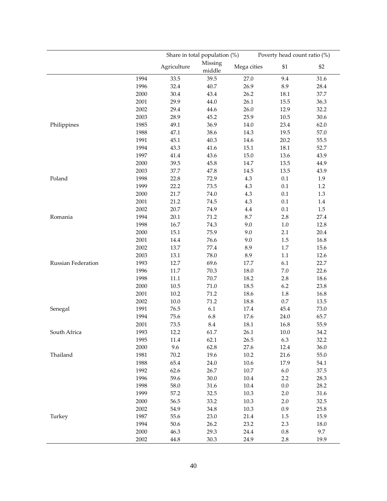|                    |      | Share in total population (%) |                   | Poverty head count ratio (%) |          |         |
|--------------------|------|-------------------------------|-------------------|------------------------------|----------|---------|
|                    |      | Agriculture                   | Missing<br>middle | Mega cities                  | \$1      | \$2     |
|                    | 1994 | 33.5                          | 39.5              | 27.0                         | 9.4      | 31.6    |
|                    | 1996 | 32.4                          | 40.7              | 26.9                         | 8.9      | 28.4    |
|                    | 2000 | $30.4\,$                      | 43.4              | 26.2                         | 18.1     | 37.7    |
|                    | 2001 | 29.9                          | 44.0              | 26.1                         | 15.5     | 36.3    |
|                    | 2002 | 29.4                          | 44.6              | 26.0                         | 12.9     | 32.2    |
|                    | 2003 | 28.9                          | 45.2              | 25.9                         | $10.5\,$ | 30.6    |
| Philippines        | 1985 | 49.1                          | 36.9              | 14.0                         | 23.4     | 62.0    |
|                    | 1988 | 47.1                          | 38.6              | 14.3                         | 19.5     | 57.0    |
|                    | 1991 | 45.1                          | 40.3              | 14.6                         | 20.2     | 55.5    |
|                    | 1994 | 43.3                          | 41.6              | $15.1\,$                     | 18.1     | 52.7    |
|                    | 1997 | 41.4                          | 43.6              | 15.0                         | 13.6     | 43.9    |
|                    | 2000 | 39.5                          | 45.8              | 14.7                         | 13.5     | 44.9    |
|                    | 2003 | 37.7                          | 47.8              | 14.5                         | 13.5     | 43.9    |
| Poland             | 1998 | 22.8                          | 72.9              | 4.3                          | $0.1\,$  | 1.9     |
|                    | 1999 | 22.2                          | 73.5              | 4.3                          | $0.1\,$  | $1.2\,$ |
|                    | 2000 | 21.7                          | 74.0              | 4.3                          | $0.1\,$  | 1.3     |
|                    | 2001 | 21.2                          | 74.5              | 4.3                          | $0.1\,$  | $1.4\,$ |
|                    | 2002 | 20.7                          | 74.9              | $4.4\,$                      | $0.1\,$  | $1.5\,$ |
| Romania            | 1994 | 20.1                          | 71.2              | 8.7                          | 2.8      | 27.4    |
|                    | 1998 | 16.7                          | 74.3              | 9.0                          | $1.0\,$  | 12.8    |
|                    | 2000 | 15.1                          | 75.9              | 9.0                          | 2.1      | 20.4    |
|                    | 2001 | 14.4                          | 76.6              | 9.0                          | 1.5      | 16.8    |
|                    | 2002 | 13.7                          | 77.4              | 8.9                          | $1.7\,$  | 15.6    |
|                    | 2003 | 13.1                          | 78.0              | 8.9                          | $1.1\,$  | 12.6    |
| Russian Federation | 1993 | 12.7                          | 69.6              | 17.7                         | $6.1\,$  | 22.7    |
|                    | 1996 | 11.7                          | 70.3              | 18.0                         | $7.0\,$  | 22.6    |
|                    | 1998 | $11.1\,$                      | 70.7              | 18.2                         | 2.8      | 18.6    |
|                    | 2000 | 10.5                          | $71.0\,$          | 18.5                         | 6.2      | 23.8    |
|                    | 2001 | $10.2\,$                      | 71.2              | 18.6                         | $1.8\,$  | 16.8    |
|                    | 2002 | $10.0\,$                      | 71.2              | 18.8                         | $0.7\,$  | 13.5    |
| Senegal            | 1991 | 76.5                          | 6.1               | 17.4                         | 45.4     | 73.0    |
|                    | 1994 | 75.6                          | 6.8               | 17.6                         | 24.0     | 65.7    |
|                    | 2001 | 73.5                          | 8.4               | 18.1                         | 16.8     | 55.9    |
| South Africa       | 1993 | 12.2                          | 61.7              | 26.1                         | 10.0     | 34.2    |
|                    | 1995 | 11.4                          | 62.1              | 26.5                         | 6.3      | 32.2    |
|                    | 2000 | 9.6                           | 62.8              | 27.6                         | 12.4     | 36.0    |
| Thailand           | 1981 | 70.2                          | 19.6              | 10.2                         | 21.6     | 55.0    |
|                    | 1988 | 65.4                          | 24.0              | $10.6\,$                     | 17.9     | 54.1    |
|                    | 1992 | 62.6                          | 26.7              | $10.7\,$                     | $6.0\,$  | 37.5    |
|                    | 1996 | 59.6                          | $30.0\,$          | $10.4\,$                     | 2.2      | 28.3    |
|                    | 1998 | 58.0                          | 31.6              | $10.4\,$                     | $0.0\,$  | 28.2    |
|                    | 1999 | 57.2                          | 32.5              | 10.3                         | 2.0      | 31.6    |
|                    | 2000 | 56.5                          | 33.2              | 10.3                         | 2.0      | 32.5    |
|                    | 2002 | 54.9                          | 34.8              | 10.3                         | 0.9      | 25.8    |
| Turkey             | 1987 | 55.6                          | 23.0              | 21.4                         | 1.5      | 15.9    |
|                    | 1994 | 50.6                          | 26.2              | 23.2                         | 2.3      | 18.0    |
|                    | 2000 | 46.3                          | 29.3              | 24.4                         | $0.8\,$  | 9.7     |
|                    | 2002 | 44.8                          | 30.3              | 24.9                         | 2.8      | 19.9    |